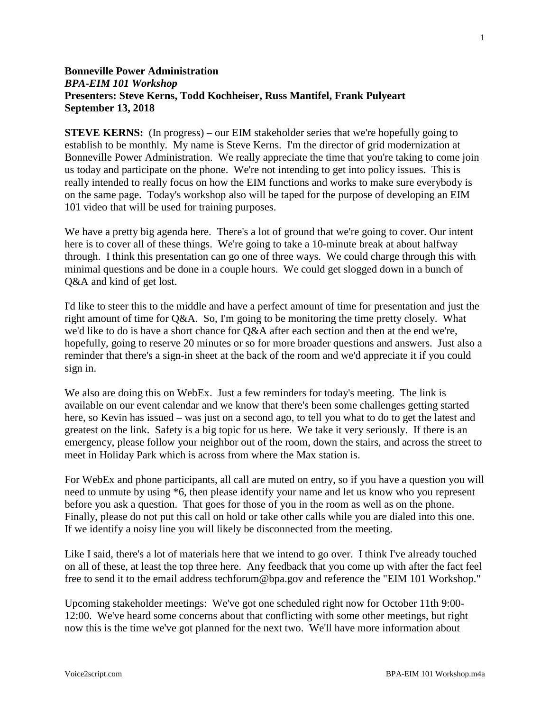# **Bonneville Power Administration** *BPA-EIM 101 Workshop* **Presenters: Steve Kerns, Todd Kochheiser, Russ Mantifel, Frank Pulyeart September 13, 2018**

**STEVE KERNS:** (In progress) – our EIM stakeholder series that we're hopefully going to establish to be monthly. My name is Steve Kerns. I'm the director of grid modernization at Bonneville Power Administration. We really appreciate the time that you're taking to come join us today and participate on the phone. We're not intending to get into policy issues. This is really intended to really focus on how the EIM functions and works to make sure everybody is on the same page. Today's workshop also will be taped for the purpose of developing an EIM 101 video that will be used for training purposes.

We have a pretty big agenda here. There's a lot of ground that we're going to cover. Our intent here is to cover all of these things. We're going to take a 10-minute break at about halfway through. I think this presentation can go one of three ways. We could charge through this with minimal questions and be done in a couple hours. We could get slogged down in a bunch of Q&A and kind of get lost.

I'd like to steer this to the middle and have a perfect amount of time for presentation and just the right amount of time for Q&A. So, I'm going to be monitoring the time pretty closely. What we'd like to do is have a short chance for Q&A after each section and then at the end we're, hopefully, going to reserve 20 minutes or so for more broader questions and answers. Just also a reminder that there's a sign-in sheet at the back of the room and we'd appreciate it if you could sign in.

We also are doing this on WebEx. Just a few reminders for today's meeting. The link is available on our event calendar and we know that there's been some challenges getting started here, so Kevin has issued – was just on a second ago, to tell you what to do to get the latest and greatest on the link. Safety is a big topic for us here. We take it very seriously. If there is an emergency, please follow your neighbor out of the room, down the stairs, and across the street to meet in Holiday Park which is across from where the Max station is.

For WebEx and phone participants, all call are muted on entry, so if you have a question you will need to unmute by using \*6, then please identify your name and let us know who you represent before you ask a question. That goes for those of you in the room as well as on the phone. Finally, please do not put this call on hold or take other calls while you are dialed into this one. If we identify a noisy line you will likely be disconnected from the meeting.

Like I said, there's a lot of materials here that we intend to go over. I think I've already touched on all of these, at least the top three here. Any feedback that you come up with after the fact feel free to send it to the email address techforum@bpa.gov and reference the "EIM 101 Workshop."

Upcoming stakeholder meetings: We've got one scheduled right now for October 11th 9:00- 12:00. We've heard some concerns about that conflicting with some other meetings, but right now this is the time we've got planned for the next two. We'll have more information about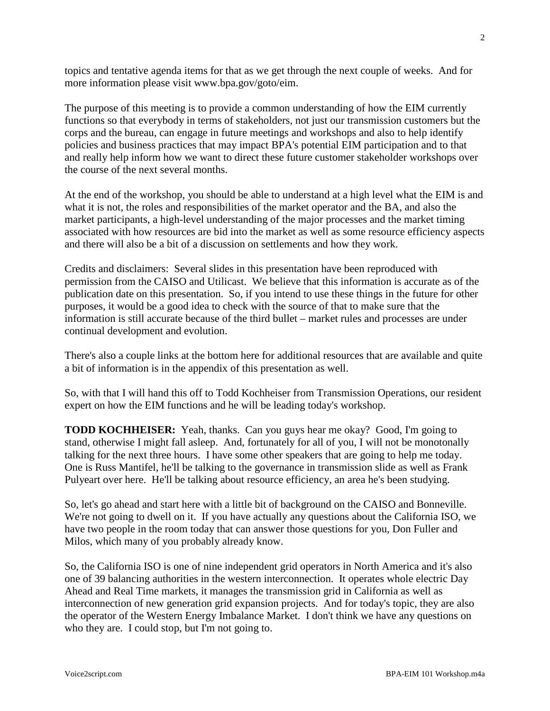topics and tentative agenda items for that as we get through the next couple of weeks. And for more information please visit www.bpa.gov/goto/eim.

The purpose of this meeting is to provide a common understanding of how the EIM currently functions so that everybody in terms of stakeholders, not just our transmission customers but the corps and the bureau, can engage in future meetings and workshops and also to help identify policies and business practices that may impact BPA's potential EIM participation and to that and really help inform how we want to direct these future customer stakeholder workshops over the course of the next several months.

At the end of the workshop, you should be able to understand at a high level what the EIM is and what it is not, the roles and responsibilities of the market operator and the BA, and also the market participants, a high-level understanding of the major processes and the market timing associated with how resources are bid into the market as well as some resource efficiency aspects and there will also be a bit of a discussion on settlements and how they work.

Credits and disclaimers: Several slides in this presentation have been reproduced with permission from the CAISO and Utilicast. We believe that this information is accurate as of the publication date on this presentation. So, if you intend to use these things in the future for other purposes, it would be a good idea to check with the source of that to make sure that the information is still accurate because of the third bullet – market rules and processes are under continual development and evolution.

There's also a couple links at the bottom here for additional resources that are available and quite a bit of information is in the appendix of this presentation as well.

So, with that I will hand this off to Todd Kochheiser from Transmission Operations, our resident expert on how the EIM functions and he will be leading today's workshop.

**TODD KOCHHEISER:** Yeah, thanks. Can you guys hear me okay? Good, I'm going to stand, otherwise I might fall asleep. And, fortunately for all of you, I will not be monotonally talking for the next three hours. I have some other speakers that are going to help me today. One is Russ Mantifel, he'll be talking to the governance in transmission slide as well as Frank Pulyeart over here. He'll be talking about resource efficiency, an area he's been studying.

So, let's go ahead and start here with a little bit of background on the CAISO and Bonneville. We're not going to dwell on it. If you have actually any questions about the California ISO, we have two people in the room today that can answer those questions for you, Don Fuller and Milos, which many of you probably already know.

So, the California ISO is one of nine independent grid operators in North America and it's also one of 39 balancing authorities in the western interconnection. It operates whole electric Day Ahead and Real Time markets, it manages the transmission grid in California as well as interconnection of new generation grid expansion projects. And for today's topic, they are also the operator of the Western Energy Imbalance Market. I don't think we have any questions on who they are. I could stop, but I'm not going to.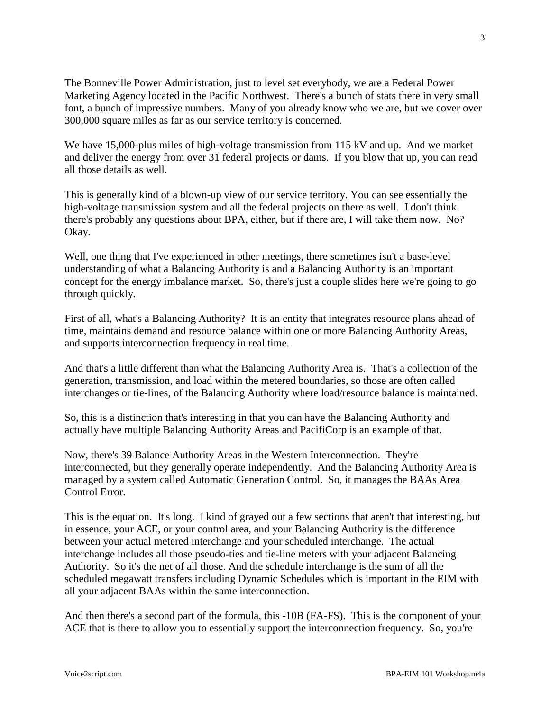The Bonneville Power Administration, just to level set everybody, we are a Federal Power Marketing Agency located in the Pacific Northwest. There's a bunch of stats there in very small font, a bunch of impressive numbers. Many of you already know who we are, but we cover over 300,000 square miles as far as our service territory is concerned.

We have 15,000-plus miles of high-voltage transmission from 115 kV and up. And we market and deliver the energy from over 31 federal projects or dams. If you blow that up, you can read all those details as well.

This is generally kind of a blown-up view of our service territory. You can see essentially the high-voltage transmission system and all the federal projects on there as well. I don't think there's probably any questions about BPA, either, but if there are, I will take them now. No? Okay.

Well, one thing that I've experienced in other meetings, there sometimes isn't a base-level understanding of what a Balancing Authority is and a Balancing Authority is an important concept for the energy imbalance market. So, there's just a couple slides here we're going to go through quickly.

First of all, what's a Balancing Authority? It is an entity that integrates resource plans ahead of time, maintains demand and resource balance within one or more Balancing Authority Areas, and supports interconnection frequency in real time.

And that's a little different than what the Balancing Authority Area is. That's a collection of the generation, transmission, and load within the metered boundaries, so those are often called interchanges or tie-lines, of the Balancing Authority where load/resource balance is maintained.

So, this is a distinction that's interesting in that you can have the Balancing Authority and actually have multiple Balancing Authority Areas and PacifiCorp is an example of that.

Now, there's 39 Balance Authority Areas in the Western Interconnection. They're interconnected, but they generally operate independently. And the Balancing Authority Area is managed by a system called Automatic Generation Control. So, it manages the BAAs Area Control Error.

This is the equation. It's long. I kind of grayed out a few sections that aren't that interesting, but in essence, your ACE, or your control area, and your Balancing Authority is the difference between your actual metered interchange and your scheduled interchange. The actual interchange includes all those pseudo-ties and tie-line meters with your adjacent Balancing Authority. So it's the net of all those. And the schedule interchange is the sum of all the scheduled megawatt transfers including Dynamic Schedules which is important in the EIM with all your adjacent BAAs within the same interconnection.

And then there's a second part of the formula, this -10B (FA-FS). This is the component of your ACE that is there to allow you to essentially support the interconnection frequency. So, you're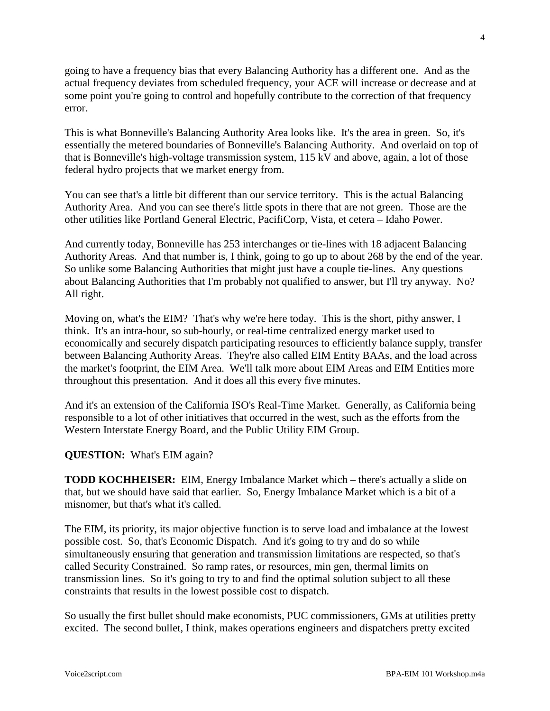going to have a frequency bias that every Balancing Authority has a different one. And as the actual frequency deviates from scheduled frequency, your ACE will increase or decrease and at some point you're going to control and hopefully contribute to the correction of that frequency error.

This is what Bonneville's Balancing Authority Area looks like. It's the area in green. So, it's essentially the metered boundaries of Bonneville's Balancing Authority. And overlaid on top of that is Bonneville's high-voltage transmission system, 115 kV and above, again, a lot of those federal hydro projects that we market energy from.

You can see that's a little bit different than our service territory. This is the actual Balancing Authority Area. And you can see there's little spots in there that are not green. Those are the other utilities like Portland General Electric, PacifiCorp, Vista, et cetera – Idaho Power.

And currently today, Bonneville has 253 interchanges or tie-lines with 18 adjacent Balancing Authority Areas. And that number is, I think, going to go up to about 268 by the end of the year. So unlike some Balancing Authorities that might just have a couple tie-lines. Any questions about Balancing Authorities that I'm probably not qualified to answer, but I'll try anyway. No? All right.

Moving on, what's the EIM? That's why we're here today. This is the short, pithy answer, I think. It's an intra-hour, so sub-hourly, or real-time centralized energy market used to economically and securely dispatch participating resources to efficiently balance supply, transfer between Balancing Authority Areas. They're also called EIM Entity BAAs, and the load across the market's footprint, the EIM Area. We'll talk more about EIM Areas and EIM Entities more throughout this presentation. And it does all this every five minutes.

And it's an extension of the California ISO's Real-Time Market. Generally, as California being responsible to a lot of other initiatives that occurred in the west, such as the efforts from the Western Interstate Energy Board, and the Public Utility EIM Group.

### **QUESTION:** What's EIM again?

**TODD KOCHHEISER:** EIM, Energy Imbalance Market which – there's actually a slide on that, but we should have said that earlier. So, Energy Imbalance Market which is a bit of a misnomer, but that's what it's called.

The EIM, its priority, its major objective function is to serve load and imbalance at the lowest possible cost. So, that's Economic Dispatch. And it's going to try and do so while simultaneously ensuring that generation and transmission limitations are respected, so that's called Security Constrained. So ramp rates, or resources, min gen, thermal limits on transmission lines. So it's going to try to and find the optimal solution subject to all these constraints that results in the lowest possible cost to dispatch.

So usually the first bullet should make economists, PUC commissioners, GMs at utilities pretty excited. The second bullet, I think, makes operations engineers and dispatchers pretty excited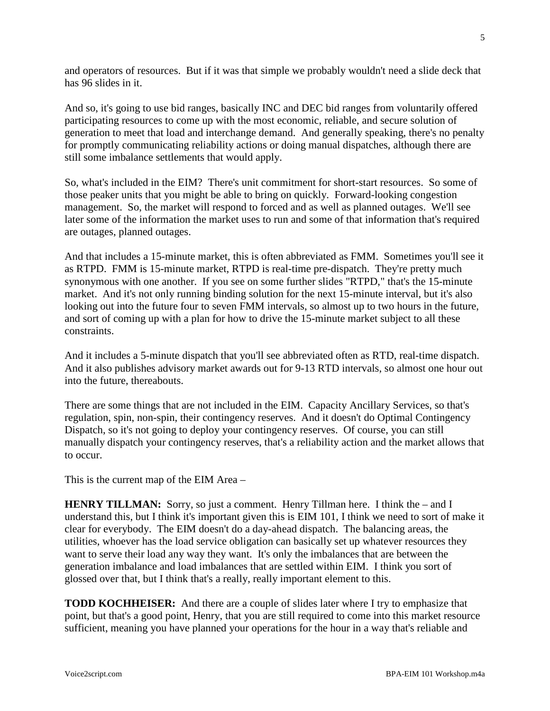and operators of resources. But if it was that simple we probably wouldn't need a slide deck that has 96 slides in it.

And so, it's going to use bid ranges, basically INC and DEC bid ranges from voluntarily offered participating resources to come up with the most economic, reliable, and secure solution of generation to meet that load and interchange demand. And generally speaking, there's no penalty for promptly communicating reliability actions or doing manual dispatches, although there are still some imbalance settlements that would apply.

So, what's included in the EIM? There's unit commitment for short-start resources. So some of those peaker units that you might be able to bring on quickly. Forward-looking congestion management. So, the market will respond to forced and as well as planned outages. We'll see later some of the information the market uses to run and some of that information that's required are outages, planned outages.

And that includes a 15-minute market, this is often abbreviated as FMM. Sometimes you'll see it as RTPD. FMM is 15-minute market, RTPD is real-time pre-dispatch. They're pretty much synonymous with one another. If you see on some further slides "RTPD," that's the 15-minute market. And it's not only running binding solution for the next 15-minute interval, but it's also looking out into the future four to seven FMM intervals, so almost up to two hours in the future, and sort of coming up with a plan for how to drive the 15-minute market subject to all these constraints.

And it includes a 5-minute dispatch that you'll see abbreviated often as RTD, real-time dispatch. And it also publishes advisory market awards out for 9-13 RTD intervals, so almost one hour out into the future, thereabouts.

There are some things that are not included in the EIM. Capacity Ancillary Services, so that's regulation, spin, non-spin, their contingency reserves. And it doesn't do Optimal Contingency Dispatch, so it's not going to deploy your contingency reserves. Of course, you can still manually dispatch your contingency reserves, that's a reliability action and the market allows that to occur.

This is the current map of the EIM Area –

**HENRY TILLMAN:** Sorry, so just a comment. Henry Tillman here. I think the – and I understand this, but I think it's important given this is EIM 101, I think we need to sort of make it clear for everybody. The EIM doesn't do a day-ahead dispatch. The balancing areas, the utilities, whoever has the load service obligation can basically set up whatever resources they want to serve their load any way they want. It's only the imbalances that are between the generation imbalance and load imbalances that are settled within EIM. I think you sort of glossed over that, but I think that's a really, really important element to this.

**TODD KOCHHEISER:** And there are a couple of slides later where I try to emphasize that point, but that's a good point, Henry, that you are still required to come into this market resource sufficient, meaning you have planned your operations for the hour in a way that's reliable and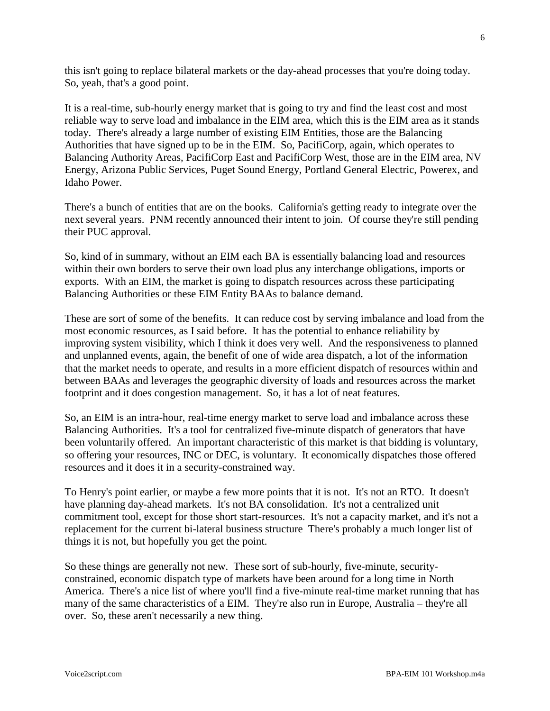this isn't going to replace bilateral markets or the day-ahead processes that you're doing today. So, yeah, that's a good point.

It is a real-time, sub-hourly energy market that is going to try and find the least cost and most reliable way to serve load and imbalance in the EIM area, which this is the EIM area as it stands today. There's already a large number of existing EIM Entities, those are the Balancing Authorities that have signed up to be in the EIM. So, PacifiCorp, again, which operates to Balancing Authority Areas, PacifiCorp East and PacifiCorp West, those are in the EIM area, NV Energy, Arizona Public Services, Puget Sound Energy, Portland General Electric, Powerex, and Idaho Power.

There's a bunch of entities that are on the books. California's getting ready to integrate over the next several years. PNM recently announced their intent to join. Of course they're still pending their PUC approval.

So, kind of in summary, without an EIM each BA is essentially balancing load and resources within their own borders to serve their own load plus any interchange obligations, imports or exports. With an EIM, the market is going to dispatch resources across these participating Balancing Authorities or these EIM Entity BAAs to balance demand.

These are sort of some of the benefits. It can reduce cost by serving imbalance and load from the most economic resources, as I said before. It has the potential to enhance reliability by improving system visibility, which I think it does very well. And the responsiveness to planned and unplanned events, again, the benefit of one of wide area dispatch, a lot of the information that the market needs to operate, and results in a more efficient dispatch of resources within and between BAAs and leverages the geographic diversity of loads and resources across the market footprint and it does congestion management. So, it has a lot of neat features.

So, an EIM is an intra-hour, real-time energy market to serve load and imbalance across these Balancing Authorities. It's a tool for centralized five-minute dispatch of generators that have been voluntarily offered. An important characteristic of this market is that bidding is voluntary, so offering your resources, INC or DEC, is voluntary. It economically dispatches those offered resources and it does it in a security-constrained way.

To Henry's point earlier, or maybe a few more points that it is not. It's not an RTO. It doesn't have planning day-ahead markets. It's not BA consolidation. It's not a centralized unit commitment tool, except for those short start-resources. It's not a capacity market, and it's not a replacement for the current bi-lateral business structure There's probably a much longer list of things it is not, but hopefully you get the point.

So these things are generally not new. These sort of sub-hourly, five-minute, securityconstrained, economic dispatch type of markets have been around for a long time in North America. There's a nice list of where you'll find a five-minute real-time market running that has many of the same characteristics of a EIM. They're also run in Europe, Australia – they're all over. So, these aren't necessarily a new thing.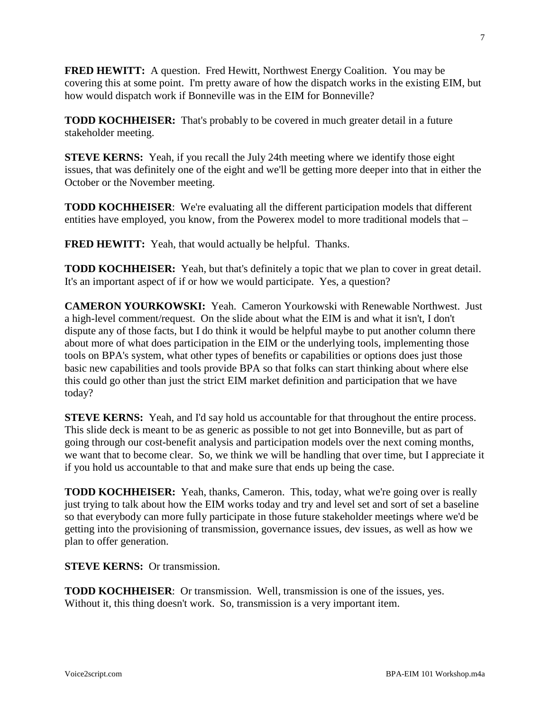**FRED HEWITT:** A question. Fred Hewitt, Northwest Energy Coalition. You may be covering this at some point. I'm pretty aware of how the dispatch works in the existing EIM, but how would dispatch work if Bonneville was in the EIM for Bonneville?

**TODD KOCHHEISER:** That's probably to be covered in much greater detail in a future stakeholder meeting.

**STEVE KERNS:** Yeah, if you recall the July 24th meeting where we identify those eight issues, that was definitely one of the eight and we'll be getting more deeper into that in either the October or the November meeting.

**TODD KOCHHEISER**: We're evaluating all the different participation models that different entities have employed, you know, from the Powerex model to more traditional models that –

**FRED HEWITT:** Yeah, that would actually be helpful. Thanks.

**TODD KOCHHEISER:** Yeah, but that's definitely a topic that we plan to cover in great detail. It's an important aspect of if or how we would participate. Yes, a question?

**CAMERON YOURKOWSKI:** Yeah. Cameron Yourkowski with Renewable Northwest. Just a high-level comment/request. On the slide about what the EIM is and what it isn't, I don't dispute any of those facts, but I do think it would be helpful maybe to put another column there about more of what does participation in the EIM or the underlying tools, implementing those tools on BPA's system, what other types of benefits or capabilities or options does just those basic new capabilities and tools provide BPA so that folks can start thinking about where else this could go other than just the strict EIM market definition and participation that we have today?

**STEVE KERNS:** Yeah, and I'd say hold us accountable for that throughout the entire process. This slide deck is meant to be as generic as possible to not get into Bonneville, but as part of going through our cost-benefit analysis and participation models over the next coming months, we want that to become clear. So, we think we will be handling that over time, but I appreciate it if you hold us accountable to that and make sure that ends up being the case.

**TODD KOCHHEISER:** Yeah, thanks, Cameron. This, today, what we're going over is really just trying to talk about how the EIM works today and try and level set and sort of set a baseline so that everybody can more fully participate in those future stakeholder meetings where we'd be getting into the provisioning of transmission, governance issues, dev issues, as well as how we plan to offer generation.

**STEVE KERNS:** Or transmission.

**TODD KOCHHEISER**: Or transmission. Well, transmission is one of the issues, yes. Without it, this thing doesn't work. So, transmission is a very important item.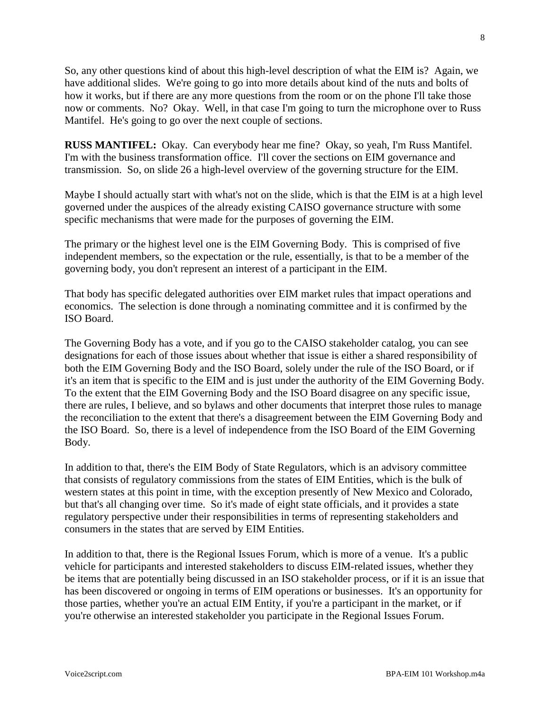So, any other questions kind of about this high-level description of what the EIM is? Again, we have additional slides. We're going to go into more details about kind of the nuts and bolts of how it works, but if there are any more questions from the room or on the phone I'll take those now or comments. No? Okay. Well, in that case I'm going to turn the microphone over to Russ Mantifel. He's going to go over the next couple of sections.

**RUSS MANTIFEL:** Okay. Can everybody hear me fine? Okay, so yeah, I'm Russ Mantifel. I'm with the business transformation office. I'll cover the sections on EIM governance and transmission. So, on slide 26 a high-level overview of the governing structure for the EIM.

Maybe I should actually start with what's not on the slide, which is that the EIM is at a high level governed under the auspices of the already existing CAISO governance structure with some specific mechanisms that were made for the purposes of governing the EIM.

The primary or the highest level one is the EIM Governing Body. This is comprised of five independent members, so the expectation or the rule, essentially, is that to be a member of the governing body, you don't represent an interest of a participant in the EIM.

That body has specific delegated authorities over EIM market rules that impact operations and economics. The selection is done through a nominating committee and it is confirmed by the ISO Board.

The Governing Body has a vote, and if you go to the CAISO stakeholder catalog, you can see designations for each of those issues about whether that issue is either a shared responsibility of both the EIM Governing Body and the ISO Board, solely under the rule of the ISO Board, or if it's an item that is specific to the EIM and is just under the authority of the EIM Governing Body. To the extent that the EIM Governing Body and the ISO Board disagree on any specific issue, there are rules, I believe, and so bylaws and other documents that interpret those rules to manage the reconciliation to the extent that there's a disagreement between the EIM Governing Body and the ISO Board. So, there is a level of independence from the ISO Board of the EIM Governing Body.

In addition to that, there's the EIM Body of State Regulators, which is an advisory committee that consists of regulatory commissions from the states of EIM Entities, which is the bulk of western states at this point in time, with the exception presently of New Mexico and Colorado, but that's all changing over time. So it's made of eight state officials, and it provides a state regulatory perspective under their responsibilities in terms of representing stakeholders and consumers in the states that are served by EIM Entities.

In addition to that, there is the Regional Issues Forum, which is more of a venue. It's a public vehicle for participants and interested stakeholders to discuss EIM-related issues, whether they be items that are potentially being discussed in an ISO stakeholder process, or if it is an issue that has been discovered or ongoing in terms of EIM operations or businesses. It's an opportunity for those parties, whether you're an actual EIM Entity, if you're a participant in the market, or if you're otherwise an interested stakeholder you participate in the Regional Issues Forum.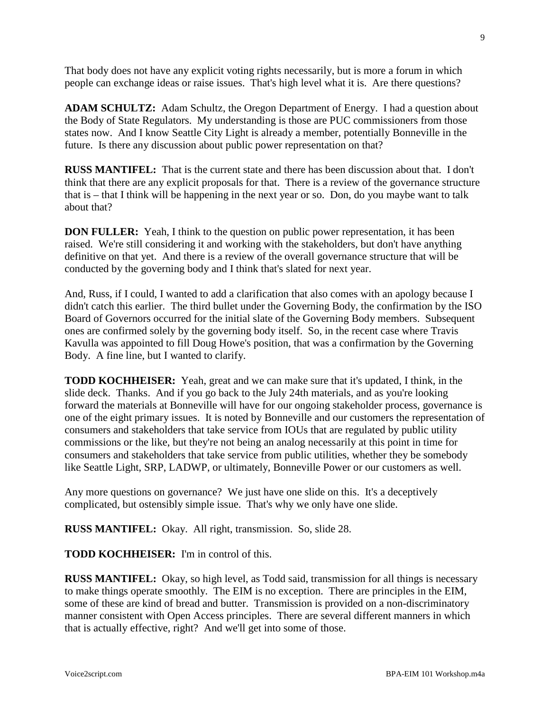That body does not have any explicit voting rights necessarily, but is more a forum in which people can exchange ideas or raise issues. That's high level what it is. Are there questions?

**ADAM SCHULTZ:** Adam Schultz, the Oregon Department of Energy. I had a question about the Body of State Regulators. My understanding is those are PUC commissioners from those states now. And I know Seattle City Light is already a member, potentially Bonneville in the future. Is there any discussion about public power representation on that?

**RUSS MANTIFEL:** That is the current state and there has been discussion about that. I don't think that there are any explicit proposals for that. There is a review of the governance structure that is – that I think will be happening in the next year or so. Don, do you maybe want to talk about that?

**DON FULLER:** Yeah, I think to the question on public power representation, it has been raised. We're still considering it and working with the stakeholders, but don't have anything definitive on that yet. And there is a review of the overall governance structure that will be conducted by the governing body and I think that's slated for next year.

And, Russ, if I could, I wanted to add a clarification that also comes with an apology because I didn't catch this earlier. The third bullet under the Governing Body, the confirmation by the ISO Board of Governors occurred for the initial slate of the Governing Body members. Subsequent ones are confirmed solely by the governing body itself. So, in the recent case where Travis Kavulla was appointed to fill Doug Howe's position, that was a confirmation by the Governing Body. A fine line, but I wanted to clarify.

**TODD KOCHHEISER:** Yeah, great and we can make sure that it's updated, I think, in the slide deck. Thanks. And if you go back to the July 24th materials, and as you're looking forward the materials at Bonneville will have for our ongoing stakeholder process, governance is one of the eight primary issues. It is noted by Bonneville and our customers the representation of consumers and stakeholders that take service from IOUs that are regulated by public utility commissions or the like, but they're not being an analog necessarily at this point in time for consumers and stakeholders that take service from public utilities, whether they be somebody like Seattle Light, SRP, LADWP, or ultimately, Bonneville Power or our customers as well.

Any more questions on governance? We just have one slide on this. It's a deceptively complicated, but ostensibly simple issue. That's why we only have one slide.

**RUSS MANTIFEL:** Okay. All right, transmission. So, slide 28.

**TODD KOCHHEISER:** I'm in control of this.

**RUSS MANTIFEL:** Okay, so high level, as Todd said, transmission for all things is necessary to make things operate smoothly. The EIM is no exception. There are principles in the EIM, some of these are kind of bread and butter. Transmission is provided on a non-discriminatory manner consistent with Open Access principles. There are several different manners in which that is actually effective, right? And we'll get into some of those.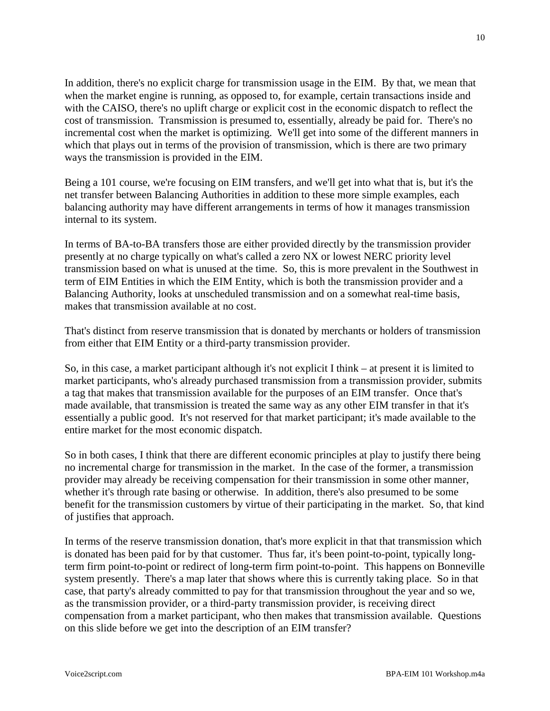In addition, there's no explicit charge for transmission usage in the EIM. By that, we mean that when the market engine is running, as opposed to, for example, certain transactions inside and with the CAISO, there's no uplift charge or explicit cost in the economic dispatch to reflect the cost of transmission. Transmission is presumed to, essentially, already be paid for. There's no incremental cost when the market is optimizing. We'll get into some of the different manners in which that plays out in terms of the provision of transmission, which is there are two primary ways the transmission is provided in the EIM.

Being a 101 course, we're focusing on EIM transfers, and we'll get into what that is, but it's the net transfer between Balancing Authorities in addition to these more simple examples, each balancing authority may have different arrangements in terms of how it manages transmission internal to its system.

In terms of BA-to-BA transfers those are either provided directly by the transmission provider presently at no charge typically on what's called a zero NX or lowest NERC priority level transmission based on what is unused at the time. So, this is more prevalent in the Southwest in term of EIM Entities in which the EIM Entity, which is both the transmission provider and a Balancing Authority, looks at unscheduled transmission and on a somewhat real-time basis, makes that transmission available at no cost.

That's distinct from reserve transmission that is donated by merchants or holders of transmission from either that EIM Entity or a third-party transmission provider.

So, in this case, a market participant although it's not explicit I think – at present it is limited to market participants, who's already purchased transmission from a transmission provider, submits a tag that makes that transmission available for the purposes of an EIM transfer. Once that's made available, that transmission is treated the same way as any other EIM transfer in that it's essentially a public good. It's not reserved for that market participant; it's made available to the entire market for the most economic dispatch.

So in both cases, I think that there are different economic principles at play to justify there being no incremental charge for transmission in the market. In the case of the former, a transmission provider may already be receiving compensation for their transmission in some other manner, whether it's through rate basing or otherwise. In addition, there's also presumed to be some benefit for the transmission customers by virtue of their participating in the market. So, that kind of justifies that approach.

In terms of the reserve transmission donation, that's more explicit in that that transmission which is donated has been paid for by that customer. Thus far, it's been point-to-point, typically longterm firm point-to-point or redirect of long-term firm point-to-point. This happens on Bonneville system presently. There's a map later that shows where this is currently taking place. So in that case, that party's already committed to pay for that transmission throughout the year and so we, as the transmission provider, or a third-party transmission provider, is receiving direct compensation from a market participant, who then makes that transmission available. Questions on this slide before we get into the description of an EIM transfer?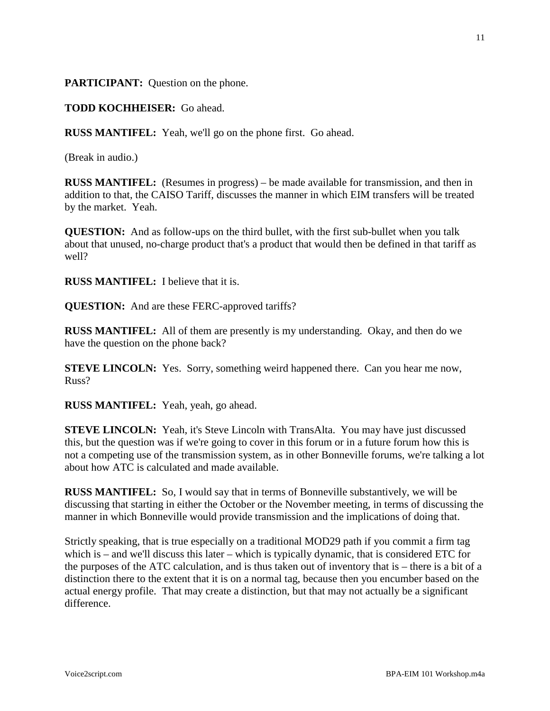**PARTICIPANT:** Question on the phone.

**TODD KOCHHEISER:** Go ahead.

**RUSS MANTIFEL:** Yeah, we'll go on the phone first. Go ahead.

(Break in audio.)

**RUSS MANTIFEL:** (Resumes in progress) – be made available for transmission, and then in addition to that, the CAISO Tariff, discusses the manner in which EIM transfers will be treated by the market. Yeah.

**QUESTION:** And as follow-ups on the third bullet, with the first sub-bullet when you talk about that unused, no-charge product that's a product that would then be defined in that tariff as well?

**RUSS MANTIFEL:** I believe that it is.

**QUESTION:** And are these FERC-approved tariffs?

**RUSS MANTIFEL:** All of them are presently is my understanding. Okay, and then do we have the question on the phone back?

**STEVE LINCOLN:** Yes. Sorry, something weird happened there. Can you hear me now, Russ?

**RUSS MANTIFEL:** Yeah, yeah, go ahead.

**STEVE LINCOLN:** Yeah, it's Steve Lincoln with TransAlta. You may have just discussed this, but the question was if we're going to cover in this forum or in a future forum how this is not a competing use of the transmission system, as in other Bonneville forums, we're talking a lot about how ATC is calculated and made available.

**RUSS MANTIFEL:** So, I would say that in terms of Bonneville substantively, we will be discussing that starting in either the October or the November meeting, in terms of discussing the manner in which Bonneville would provide transmission and the implications of doing that.

Strictly speaking, that is true especially on a traditional MOD29 path if you commit a firm tag which is – and we'll discuss this later – which is typically dynamic, that is considered ETC for the purposes of the ATC calculation, and is thus taken out of inventory that is – there is a bit of a distinction there to the extent that it is on a normal tag, because then you encumber based on the actual energy profile. That may create a distinction, but that may not actually be a significant difference.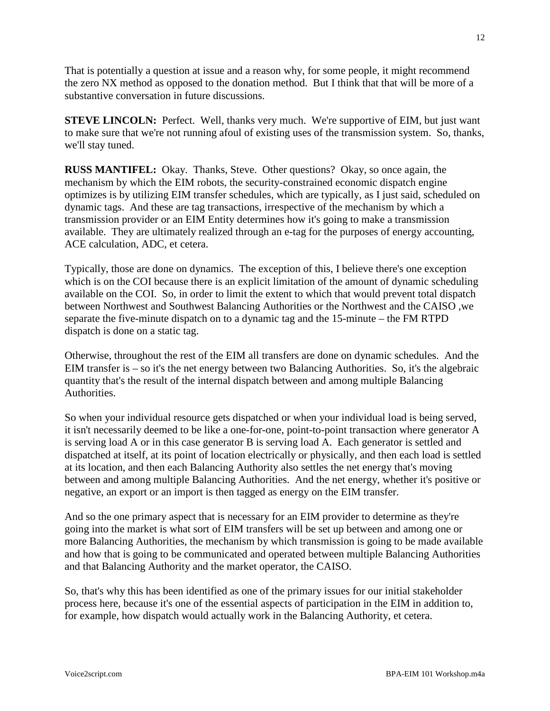That is potentially a question at issue and a reason why, for some people, it might recommend the zero NX method as opposed to the donation method. But I think that that will be more of a substantive conversation in future discussions.

**STEVE LINCOLN:** Perfect. Well, thanks very much. We're supportive of EIM, but just want to make sure that we're not running afoul of existing uses of the transmission system. So, thanks, we'll stay tuned.

**RUSS MANTIFEL:** Okay. Thanks, Steve. Other questions? Okay, so once again, the mechanism by which the EIM robots, the security-constrained economic dispatch engine optimizes is by utilizing EIM transfer schedules, which are typically, as I just said, scheduled on dynamic tags. And these are tag transactions, irrespective of the mechanism by which a transmission provider or an EIM Entity determines how it's going to make a transmission available. They are ultimately realized through an e-tag for the purposes of energy accounting, ACE calculation, ADC, et cetera.

Typically, those are done on dynamics. The exception of this, I believe there's one exception which is on the COI because there is an explicit limitation of the amount of dynamic scheduling available on the COI. So, in order to limit the extent to which that would prevent total dispatch between Northwest and Southwest Balancing Authorities or the Northwest and the CAISO ,we separate the five-minute dispatch on to a dynamic tag and the 15-minute – the FM RTPD dispatch is done on a static tag.

Otherwise, throughout the rest of the EIM all transfers are done on dynamic schedules. And the EIM transfer is – so it's the net energy between two Balancing Authorities. So, it's the algebraic quantity that's the result of the internal dispatch between and among multiple Balancing Authorities.

So when your individual resource gets dispatched or when your individual load is being served, it isn't necessarily deemed to be like a one-for-one, point-to-point transaction where generator A is serving load A or in this case generator B is serving load A. Each generator is settled and dispatched at itself, at its point of location electrically or physically, and then each load is settled at its location, and then each Balancing Authority also settles the net energy that's moving between and among multiple Balancing Authorities. And the net energy, whether it's positive or negative, an export or an import is then tagged as energy on the EIM transfer.

And so the one primary aspect that is necessary for an EIM provider to determine as they're going into the market is what sort of EIM transfers will be set up between and among one or more Balancing Authorities, the mechanism by which transmission is going to be made available and how that is going to be communicated and operated between multiple Balancing Authorities and that Balancing Authority and the market operator, the CAISO.

So, that's why this has been identified as one of the primary issues for our initial stakeholder process here, because it's one of the essential aspects of participation in the EIM in addition to, for example, how dispatch would actually work in the Balancing Authority, et cetera.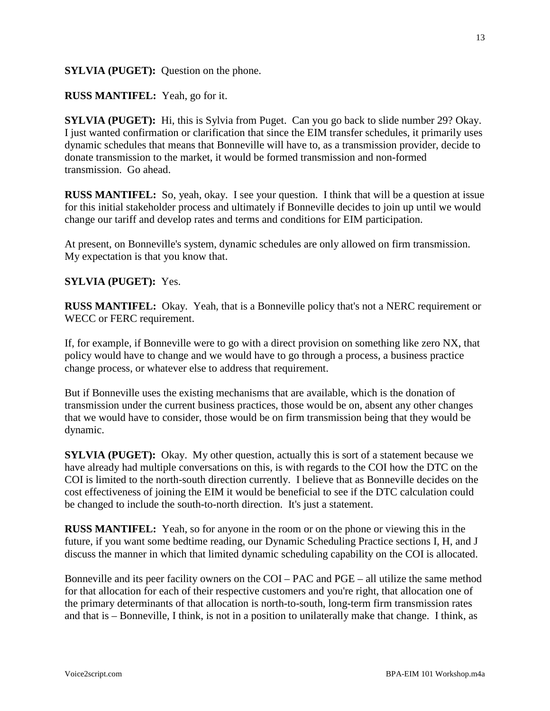#### **SYLVIA (PUGET):** Question on the phone.

#### **RUSS MANTIFEL:** Yeah, go for it.

**SYLVIA** (PUGET): Hi, this is Sylvia from Puget. Can you go back to slide number 29? Okay. I just wanted confirmation or clarification that since the EIM transfer schedules, it primarily uses dynamic schedules that means that Bonneville will have to, as a transmission provider, decide to donate transmission to the market, it would be formed transmission and non-formed transmission. Go ahead.

**RUSS MANTIFEL:** So, yeah, okay. I see your question. I think that will be a question at issue for this initial stakeholder process and ultimately if Bonneville decides to join up until we would change our tariff and develop rates and terms and conditions for EIM participation.

At present, on Bonneville's system, dynamic schedules are only allowed on firm transmission. My expectation is that you know that.

#### **SYLVIA (PUGET):** Yes.

**RUSS MANTIFEL:** Okay. Yeah, that is a Bonneville policy that's not a NERC requirement or WECC or FERC requirement.

If, for example, if Bonneville were to go with a direct provision on something like zero NX, that policy would have to change and we would have to go through a process, a business practice change process, or whatever else to address that requirement.

But if Bonneville uses the existing mechanisms that are available, which is the donation of transmission under the current business practices, those would be on, absent any other changes that we would have to consider, those would be on firm transmission being that they would be dynamic.

**SYLVIA** (PUGET): Okay. My other question, actually this is sort of a statement because we have already had multiple conversations on this, is with regards to the COI how the DTC on the COI is limited to the north-south direction currently. I believe that as Bonneville decides on the cost effectiveness of joining the EIM it would be beneficial to see if the DTC calculation could be changed to include the south-to-north direction. It's just a statement.

**RUSS MANTIFEL:** Yeah, so for anyone in the room or on the phone or viewing this in the future, if you want some bedtime reading, our Dynamic Scheduling Practice sections I, H, and J discuss the manner in which that limited dynamic scheduling capability on the COI is allocated.

Bonneville and its peer facility owners on the COI – PAC and PGE – all utilize the same method for that allocation for each of their respective customers and you're right, that allocation one of the primary determinants of that allocation is north-to-south, long-term firm transmission rates and that is – Bonneville, I think, is not in a position to unilaterally make that change. I think, as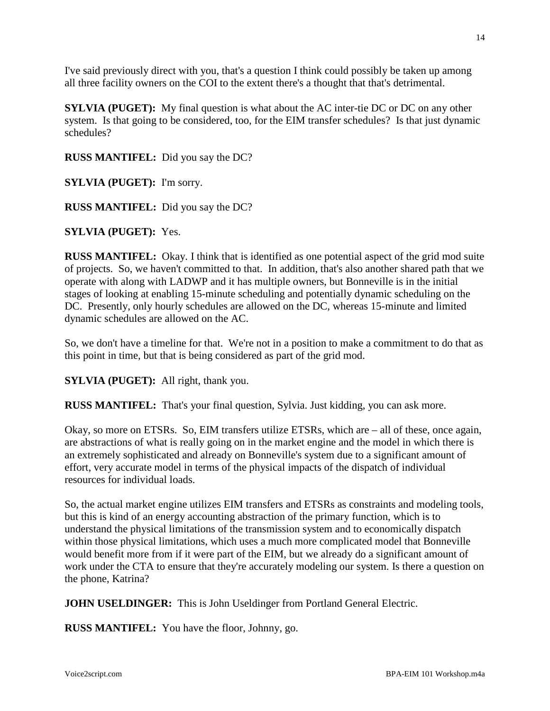I've said previously direct with you, that's a question I think could possibly be taken up among all three facility owners on the COI to the extent there's a thought that that's detrimental.

**SYLVIA (PUGET):** My final question is what about the AC inter-tie DC or DC on any other system. Is that going to be considered, too, for the EIM transfer schedules? Is that just dynamic schedules?

**RUSS MANTIFEL:** Did you say the DC?

**SYLVIA (PUGET):** I'm sorry.

**RUSS MANTIFEL:** Did you say the DC?

**SYLVIA (PUGET):** Yes.

**RUSS MANTIFEL:** Okay. I think that is identified as one potential aspect of the grid mod suite of projects. So, we haven't committed to that. In addition, that's also another shared path that we operate with along with LADWP and it has multiple owners, but Bonneville is in the initial stages of looking at enabling 15-minute scheduling and potentially dynamic scheduling on the DC. Presently, only hourly schedules are allowed on the DC, whereas 15-minute and limited dynamic schedules are allowed on the AC.

So, we don't have a timeline for that. We're not in a position to make a commitment to do that as this point in time, but that is being considered as part of the grid mod.

**SYLVIA (PUGET):** All right, thank you.

**RUSS MANTIFEL:** That's your final question, Sylvia. Just kidding, you can ask more.

Okay, so more on ETSRs. So, EIM transfers utilize ETSRs, which are – all of these, once again, are abstractions of what is really going on in the market engine and the model in which there is an extremely sophisticated and already on Bonneville's system due to a significant amount of effort, very accurate model in terms of the physical impacts of the dispatch of individual resources for individual loads.

So, the actual market engine utilizes EIM transfers and ETSRs as constraints and modeling tools, but this is kind of an energy accounting abstraction of the primary function, which is to understand the physical limitations of the transmission system and to economically dispatch within those physical limitations, which uses a much more complicated model that Bonneville would benefit more from if it were part of the EIM, but we already do a significant amount of work under the CTA to ensure that they're accurately modeling our system. Is there a question on the phone, Katrina?

**JOHN USELDINGER:** This is John Useldinger from Portland General Electric.

**RUSS MANTIFEL:** You have the floor, Johnny, go.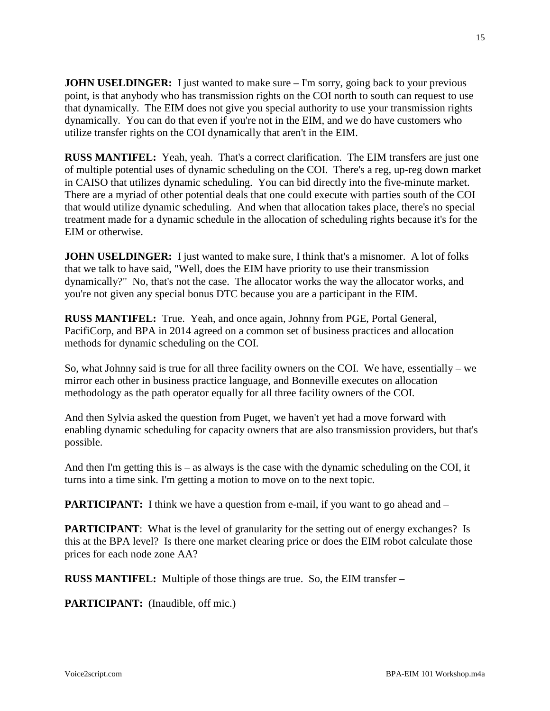**JOHN USELDINGER:** I just wanted to make sure – I'm sorry, going back to your previous point, is that anybody who has transmission rights on the COI north to south can request to use that dynamically. The EIM does not give you special authority to use your transmission rights dynamically. You can do that even if you're not in the EIM, and we do have customers who utilize transfer rights on the COI dynamically that aren't in the EIM.

**RUSS MANTIFEL:** Yeah, yeah. That's a correct clarification. The EIM transfers are just one of multiple potential uses of dynamic scheduling on the COI. There's a reg, up-reg down market in CAISO that utilizes dynamic scheduling. You can bid directly into the five-minute market. There are a myriad of other potential deals that one could execute with parties south of the COI that would utilize dynamic scheduling. And when that allocation takes place, there's no special treatment made for a dynamic schedule in the allocation of scheduling rights because it's for the EIM or otherwise.

**JOHN USELDINGER:** I just wanted to make sure, I think that's a misnomer. A lot of folks that we talk to have said, "Well, does the EIM have priority to use their transmission dynamically?" No, that's not the case. The allocator works the way the allocator works, and you're not given any special bonus DTC because you are a participant in the EIM.

**RUSS MANTIFEL:** True. Yeah, and once again, Johnny from PGE, Portal General, PacifiCorp, and BPA in 2014 agreed on a common set of business practices and allocation methods for dynamic scheduling on the COI.

So, what Johnny said is true for all three facility owners on the COI. We have, essentially – we mirror each other in business practice language, and Bonneville executes on allocation methodology as the path operator equally for all three facility owners of the COI.

And then Sylvia asked the question from Puget, we haven't yet had a move forward with enabling dynamic scheduling for capacity owners that are also transmission providers, but that's possible.

And then I'm getting this is – as always is the case with the dynamic scheduling on the COI, it turns into a time sink. I'm getting a motion to move on to the next topic.

**PARTICIPANT:** I think we have a question from e-mail, if you want to go ahead and –

**PARTICIPANT:** What is the level of granularity for the setting out of energy exchanges? Is this at the BPA level? Is there one market clearing price or does the EIM robot calculate those prices for each node zone AA?

**RUSS MANTIFEL:** Multiple of those things are true. So, the EIM transfer –

**PARTICIPANT:** (Inaudible, off mic.)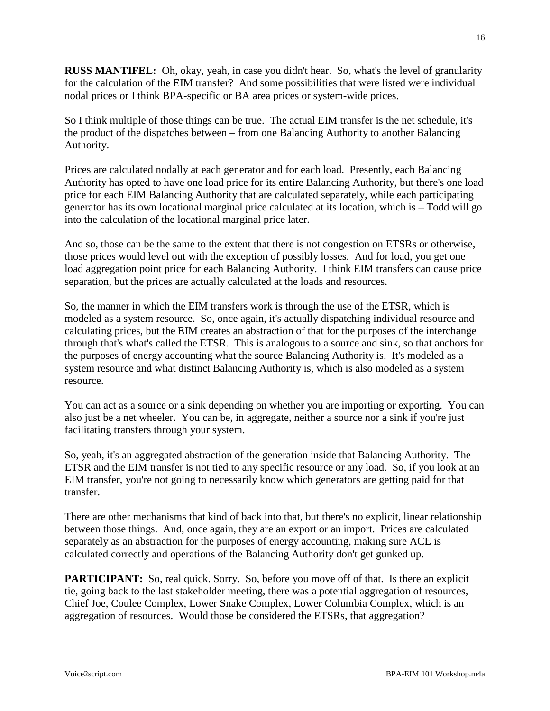**RUSS MANTIFEL:** Oh, okay, yeah, in case you didn't hear. So, what's the level of granularity for the calculation of the EIM transfer? And some possibilities that were listed were individual nodal prices or I think BPA-specific or BA area prices or system-wide prices.

So I think multiple of those things can be true. The actual EIM transfer is the net schedule, it's the product of the dispatches between – from one Balancing Authority to another Balancing Authority.

Prices are calculated nodally at each generator and for each load. Presently, each Balancing Authority has opted to have one load price for its entire Balancing Authority, but there's one load price for each EIM Balancing Authority that are calculated separately, while each participating generator has its own locational marginal price calculated at its location, which is – Todd will go into the calculation of the locational marginal price later.

And so, those can be the same to the extent that there is not congestion on ETSRs or otherwise, those prices would level out with the exception of possibly losses. And for load, you get one load aggregation point price for each Balancing Authority. I think EIM transfers can cause price separation, but the prices are actually calculated at the loads and resources.

So, the manner in which the EIM transfers work is through the use of the ETSR, which is modeled as a system resource. So, once again, it's actually dispatching individual resource and calculating prices, but the EIM creates an abstraction of that for the purposes of the interchange through that's what's called the ETSR. This is analogous to a source and sink, so that anchors for the purposes of energy accounting what the source Balancing Authority is. It's modeled as a system resource and what distinct Balancing Authority is, which is also modeled as a system resource.

You can act as a source or a sink depending on whether you are importing or exporting. You can also just be a net wheeler. You can be, in aggregate, neither a source nor a sink if you're just facilitating transfers through your system.

So, yeah, it's an aggregated abstraction of the generation inside that Balancing Authority. The ETSR and the EIM transfer is not tied to any specific resource or any load. So, if you look at an EIM transfer, you're not going to necessarily know which generators are getting paid for that transfer.

There are other mechanisms that kind of back into that, but there's no explicit, linear relationship between those things. And, once again, they are an export or an import. Prices are calculated separately as an abstraction for the purposes of energy accounting, making sure ACE is calculated correctly and operations of the Balancing Authority don't get gunked up.

**PARTICIPANT:** So, real quick. Sorry. So, before you move off of that. Is there an explicit tie, going back to the last stakeholder meeting, there was a potential aggregation of resources, Chief Joe, Coulee Complex, Lower Snake Complex, Lower Columbia Complex, which is an aggregation of resources. Would those be considered the ETSRs, that aggregation?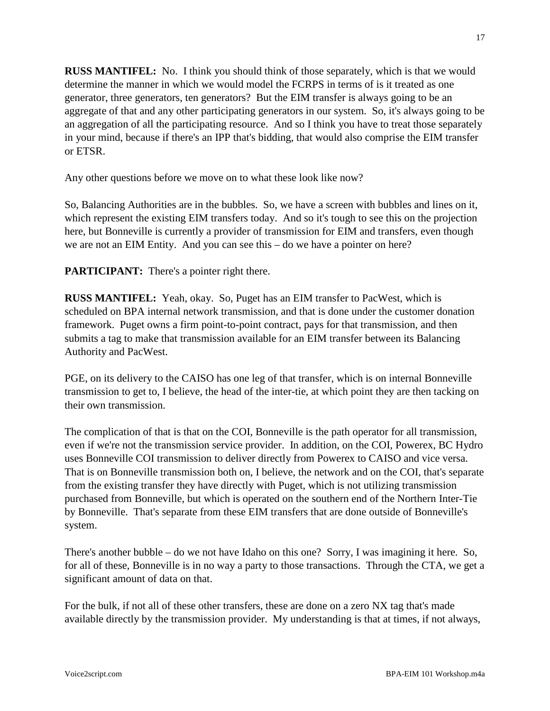**RUSS MANTIFEL:** No. I think you should think of those separately, which is that we would determine the manner in which we would model the FCRPS in terms of is it treated as one generator, three generators, ten generators? But the EIM transfer is always going to be an aggregate of that and any other participating generators in our system. So, it's always going to be an aggregation of all the participating resource. And so I think you have to treat those separately in your mind, because if there's an IPP that's bidding, that would also comprise the EIM transfer or ETSR.

Any other questions before we move on to what these look like now?

So, Balancing Authorities are in the bubbles. So, we have a screen with bubbles and lines on it, which represent the existing EIM transfers today. And so it's tough to see this on the projection here, but Bonneville is currently a provider of transmission for EIM and transfers, even though we are not an EIM Entity. And you can see this – do we have a pointer on here?

**PARTICIPANT:** There's a pointer right there.

**RUSS MANTIFEL:** Yeah, okay. So, Puget has an EIM transfer to PacWest, which is scheduled on BPA internal network transmission, and that is done under the customer donation framework. Puget owns a firm point-to-point contract, pays for that transmission, and then submits a tag to make that transmission available for an EIM transfer between its Balancing Authority and PacWest.

PGE, on its delivery to the CAISO has one leg of that transfer, which is on internal Bonneville transmission to get to, I believe, the head of the inter-tie, at which point they are then tacking on their own transmission.

The complication of that is that on the COI, Bonneville is the path operator for all transmission, even if we're not the transmission service provider. In addition, on the COI, Powerex, BC Hydro uses Bonneville COI transmission to deliver directly from Powerex to CAISO and vice versa. That is on Bonneville transmission both on, I believe, the network and on the COI, that's separate from the existing transfer they have directly with Puget, which is not utilizing transmission purchased from Bonneville, but which is operated on the southern end of the Northern Inter-Tie by Bonneville. That's separate from these EIM transfers that are done outside of Bonneville's system.

There's another bubble – do we not have Idaho on this one? Sorry, I was imagining it here. So, for all of these, Bonneville is in no way a party to those transactions. Through the CTA, we get a significant amount of data on that.

For the bulk, if not all of these other transfers, these are done on a zero NX tag that's made available directly by the transmission provider. My understanding is that at times, if not always,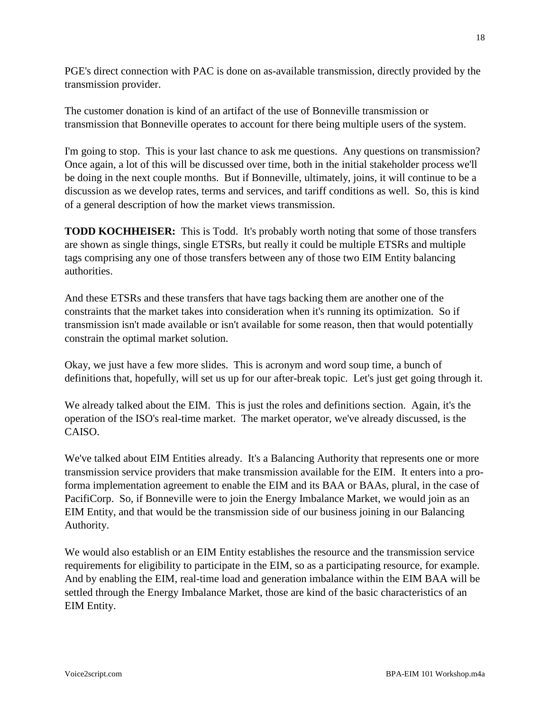PGE's direct connection with PAC is done on as-available transmission, directly provided by the transmission provider.

The customer donation is kind of an artifact of the use of Bonneville transmission or transmission that Bonneville operates to account for there being multiple users of the system.

I'm going to stop. This is your last chance to ask me questions. Any questions on transmission? Once again, a lot of this will be discussed over time, both in the initial stakeholder process we'll be doing in the next couple months. But if Bonneville, ultimately, joins, it will continue to be a discussion as we develop rates, terms and services, and tariff conditions as well. So, this is kind of a general description of how the market views transmission.

**TODD KOCHHEISER:** This is Todd. It's probably worth noting that some of those transfers are shown as single things, single ETSRs, but really it could be multiple ETSRs and multiple tags comprising any one of those transfers between any of those two EIM Entity balancing authorities.

And these ETSRs and these transfers that have tags backing them are another one of the constraints that the market takes into consideration when it's running its optimization. So if transmission isn't made available or isn't available for some reason, then that would potentially constrain the optimal market solution.

Okay, we just have a few more slides. This is acronym and word soup time, a bunch of definitions that, hopefully, will set us up for our after-break topic. Let's just get going through it.

We already talked about the EIM. This is just the roles and definitions section. Again, it's the operation of the ISO's real-time market. The market operator, we've already discussed, is the CAISO.

We've talked about EIM Entities already. It's a Balancing Authority that represents one or more transmission service providers that make transmission available for the EIM. It enters into a proforma implementation agreement to enable the EIM and its BAA or BAAs, plural, in the case of PacifiCorp. So, if Bonneville were to join the Energy Imbalance Market, we would join as an EIM Entity, and that would be the transmission side of our business joining in our Balancing Authority.

We would also establish or an EIM Entity establishes the resource and the transmission service requirements for eligibility to participate in the EIM, so as a participating resource, for example. And by enabling the EIM, real-time load and generation imbalance within the EIM BAA will be settled through the Energy Imbalance Market, those are kind of the basic characteristics of an EIM Entity.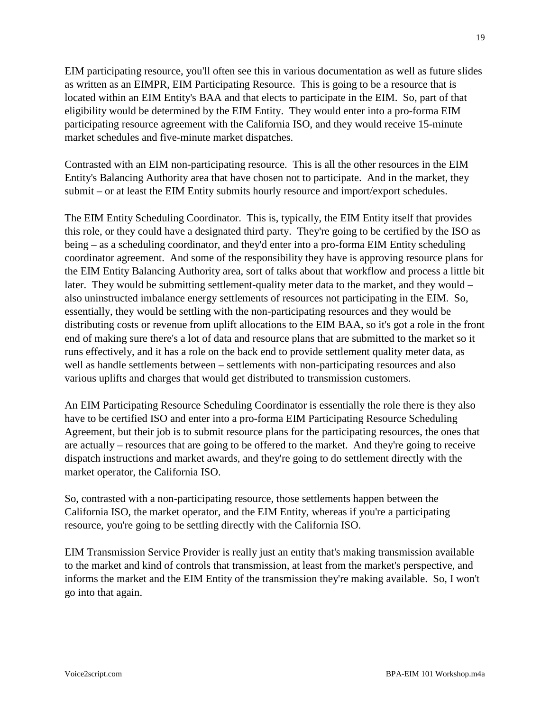EIM participating resource, you'll often see this in various documentation as well as future slides as written as an EIMPR, EIM Participating Resource. This is going to be a resource that is located within an EIM Entity's BAA and that elects to participate in the EIM. So, part of that eligibility would be determined by the EIM Entity. They would enter into a pro-forma EIM participating resource agreement with the California ISO, and they would receive 15-minute market schedules and five-minute market dispatches.

Contrasted with an EIM non-participating resource. This is all the other resources in the EIM Entity's Balancing Authority area that have chosen not to participate. And in the market, they submit – or at least the EIM Entity submits hourly resource and import/export schedules.

The EIM Entity Scheduling Coordinator. This is, typically, the EIM Entity itself that provides this role, or they could have a designated third party. They're going to be certified by the ISO as being – as a scheduling coordinator, and they'd enter into a pro-forma EIM Entity scheduling coordinator agreement. And some of the responsibility they have is approving resource plans for the EIM Entity Balancing Authority area, sort of talks about that workflow and process a little bit later. They would be submitting settlement-quality meter data to the market, and they would – also uninstructed imbalance energy settlements of resources not participating in the EIM. So, essentially, they would be settling with the non-participating resources and they would be distributing costs or revenue from uplift allocations to the EIM BAA, so it's got a role in the front end of making sure there's a lot of data and resource plans that are submitted to the market so it runs effectively, and it has a role on the back end to provide settlement quality meter data, as well as handle settlements between – settlements with non-participating resources and also various uplifts and charges that would get distributed to transmission customers.

An EIM Participating Resource Scheduling Coordinator is essentially the role there is they also have to be certified ISO and enter into a pro-forma EIM Participating Resource Scheduling Agreement, but their job is to submit resource plans for the participating resources, the ones that are actually – resources that are going to be offered to the market. And they're going to receive dispatch instructions and market awards, and they're going to do settlement directly with the market operator, the California ISO.

So, contrasted with a non-participating resource, those settlements happen between the California ISO, the market operator, and the EIM Entity, whereas if you're a participating resource, you're going to be settling directly with the California ISO.

EIM Transmission Service Provider is really just an entity that's making transmission available to the market and kind of controls that transmission, at least from the market's perspective, and informs the market and the EIM Entity of the transmission they're making available. So, I won't go into that again.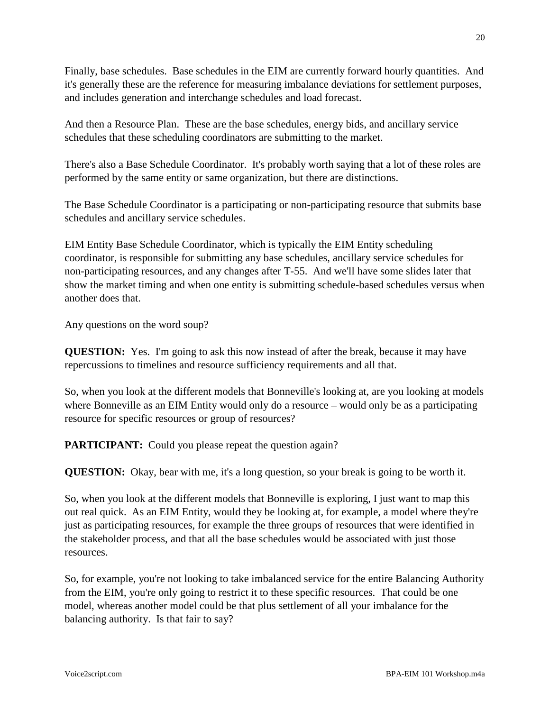Finally, base schedules. Base schedules in the EIM are currently forward hourly quantities. And it's generally these are the reference for measuring imbalance deviations for settlement purposes, and includes generation and interchange schedules and load forecast.

And then a Resource Plan. These are the base schedules, energy bids, and ancillary service schedules that these scheduling coordinators are submitting to the market.

There's also a Base Schedule Coordinator. It's probably worth saying that a lot of these roles are performed by the same entity or same organization, but there are distinctions.

The Base Schedule Coordinator is a participating or non-participating resource that submits base schedules and ancillary service schedules.

EIM Entity Base Schedule Coordinator, which is typically the EIM Entity scheduling coordinator, is responsible for submitting any base schedules, ancillary service schedules for non-participating resources, and any changes after T-55. And we'll have some slides later that show the market timing and when one entity is submitting schedule-based schedules versus when another does that.

Any questions on the word soup?

**QUESTION:** Yes. I'm going to ask this now instead of after the break, because it may have repercussions to timelines and resource sufficiency requirements and all that.

So, when you look at the different models that Bonneville's looking at, are you looking at models where Bonneville as an EIM Entity would only do a resource – would only be as a participating resource for specific resources or group of resources?

PARTICIPANT: Could you please repeat the question again?

**QUESTION:** Okay, bear with me, it's a long question, so your break is going to be worth it.

So, when you look at the different models that Bonneville is exploring, I just want to map this out real quick. As an EIM Entity, would they be looking at, for example, a model where they're just as participating resources, for example the three groups of resources that were identified in the stakeholder process, and that all the base schedules would be associated with just those resources.

So, for example, you're not looking to take imbalanced service for the entire Balancing Authority from the EIM, you're only going to restrict it to these specific resources. That could be one model, whereas another model could be that plus settlement of all your imbalance for the balancing authority. Is that fair to say?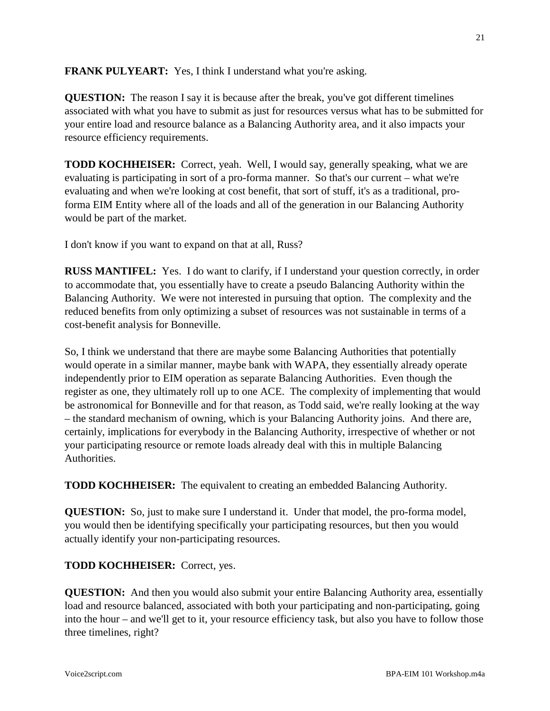**FRANK PULYEART:** Yes, I think I understand what you're asking.

**QUESTION:** The reason I say it is because after the break, you've got different timelines associated with what you have to submit as just for resources versus what has to be submitted for your entire load and resource balance as a Balancing Authority area, and it also impacts your resource efficiency requirements.

**TODD KOCHHEISER:** Correct, yeah. Well, I would say, generally speaking, what we are evaluating is participating in sort of a pro-forma manner. So that's our current – what we're evaluating and when we're looking at cost benefit, that sort of stuff, it's as a traditional, proforma EIM Entity where all of the loads and all of the generation in our Balancing Authority would be part of the market.

I don't know if you want to expand on that at all, Russ?

**RUSS MANTIFEL:** Yes. I do want to clarify, if I understand your question correctly, in order to accommodate that, you essentially have to create a pseudo Balancing Authority within the Balancing Authority. We were not interested in pursuing that option. The complexity and the reduced benefits from only optimizing a subset of resources was not sustainable in terms of a cost-benefit analysis for Bonneville.

So, I think we understand that there are maybe some Balancing Authorities that potentially would operate in a similar manner, maybe bank with WAPA, they essentially already operate independently prior to EIM operation as separate Balancing Authorities. Even though the register as one, they ultimately roll up to one ACE. The complexity of implementing that would be astronomical for Bonneville and for that reason, as Todd said, we're really looking at the way – the standard mechanism of owning, which is your Balancing Authority joins. And there are, certainly, implications for everybody in the Balancing Authority, irrespective of whether or not your participating resource or remote loads already deal with this in multiple Balancing Authorities.

**TODD KOCHHEISER:** The equivalent to creating an embedded Balancing Authority.

**QUESTION:** So, just to make sure I understand it. Under that model, the pro-forma model, you would then be identifying specifically your participating resources, but then you would actually identify your non-participating resources.

**TODD KOCHHEISER:** Correct, yes.

**QUESTION:** And then you would also submit your entire Balancing Authority area, essentially load and resource balanced, associated with both your participating and non-participating, going into the hour – and we'll get to it, your resource efficiency task, but also you have to follow those three timelines, right?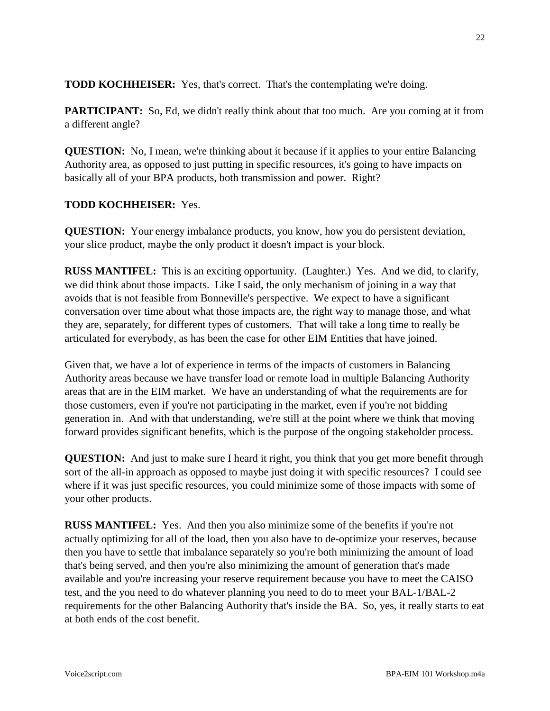**TODD KOCHHEISER:** Yes, that's correct. That's the contemplating we're doing.

**PARTICIPANT:** So, Ed, we didn't really think about that too much. Are you coming at it from a different angle?

**QUESTION:** No, I mean, we're thinking about it because if it applies to your entire Balancing Authority area, as opposed to just putting in specific resources, it's going to have impacts on basically all of your BPA products, both transmission and power. Right?

# **TODD KOCHHEISER:** Yes.

**QUESTION:** Your energy imbalance products, you know, how you do persistent deviation, your slice product, maybe the only product it doesn't impact is your block.

**RUSS MANTIFEL:** This is an exciting opportunity. (Laughter.) Yes. And we did, to clarify, we did think about those impacts. Like I said, the only mechanism of joining in a way that avoids that is not feasible from Bonneville's perspective. We expect to have a significant conversation over time about what those impacts are, the right way to manage those, and what they are, separately, for different types of customers. That will take a long time to really be articulated for everybody, as has been the case for other EIM Entities that have joined.

Given that, we have a lot of experience in terms of the impacts of customers in Balancing Authority areas because we have transfer load or remote load in multiple Balancing Authority areas that are in the EIM market. We have an understanding of what the requirements are for those customers, even if you're not participating in the market, even if you're not bidding generation in. And with that understanding, we're still at the point where we think that moving forward provides significant benefits, which is the purpose of the ongoing stakeholder process.

**QUESTION:** And just to make sure I heard it right, you think that you get more benefit through sort of the all-in approach as opposed to maybe just doing it with specific resources? I could see where if it was just specific resources, you could minimize some of those impacts with some of your other products.

**RUSS MANTIFEL:** Yes. And then you also minimize some of the benefits if you're not actually optimizing for all of the load, then you also have to de-optimize your reserves, because then you have to settle that imbalance separately so you're both minimizing the amount of load that's being served, and then you're also minimizing the amount of generation that's made available and you're increasing your reserve requirement because you have to meet the CAISO test, and the you need to do whatever planning you need to do to meet your BAL-1/BAL-2 requirements for the other Balancing Authority that's inside the BA. So, yes, it really starts to eat at both ends of the cost benefit.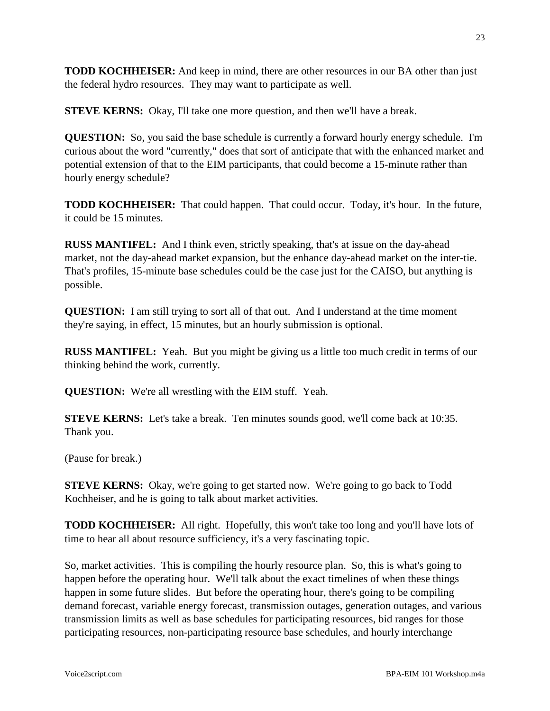**TODD KOCHHEISER:** And keep in mind, there are other resources in our BA other than just the federal hydro resources. They may want to participate as well.

**STEVE KERNS:** Okay, I'll take one more question, and then we'll have a break.

**QUESTION:** So, you said the base schedule is currently a forward hourly energy schedule. I'm curious about the word "currently," does that sort of anticipate that with the enhanced market and potential extension of that to the EIM participants, that could become a 15-minute rather than hourly energy schedule?

**TODD KOCHHEISER:** That could happen. That could occur. Today, it's hour. In the future, it could be 15 minutes.

**RUSS MANTIFEL:** And I think even, strictly speaking, that's at issue on the day-ahead market, not the day-ahead market expansion, but the enhance day-ahead market on the inter-tie. That's profiles, 15-minute base schedules could be the case just for the CAISO, but anything is possible.

**QUESTION:** I am still trying to sort all of that out. And I understand at the time moment they're saying, in effect, 15 minutes, but an hourly submission is optional.

**RUSS MANTIFEL:** Yeah. But you might be giving us a little too much credit in terms of our thinking behind the work, currently.

**QUESTION:** We're all wrestling with the EIM stuff. Yeah.

**STEVE KERNS:** Let's take a break. Ten minutes sounds good, we'll come back at 10:35. Thank you.

(Pause for break.)

**STEVE KERNS:** Okay, we're going to get started now. We're going to go back to Todd Kochheiser, and he is going to talk about market activities.

**TODD KOCHHEISER:** All right. Hopefully, this won't take too long and you'll have lots of time to hear all about resource sufficiency, it's a very fascinating topic.

So, market activities. This is compiling the hourly resource plan. So, this is what's going to happen before the operating hour. We'll talk about the exact timelines of when these things happen in some future slides. But before the operating hour, there's going to be compiling demand forecast, variable energy forecast, transmission outages, generation outages, and various transmission limits as well as base schedules for participating resources, bid ranges for those participating resources, non-participating resource base schedules, and hourly interchange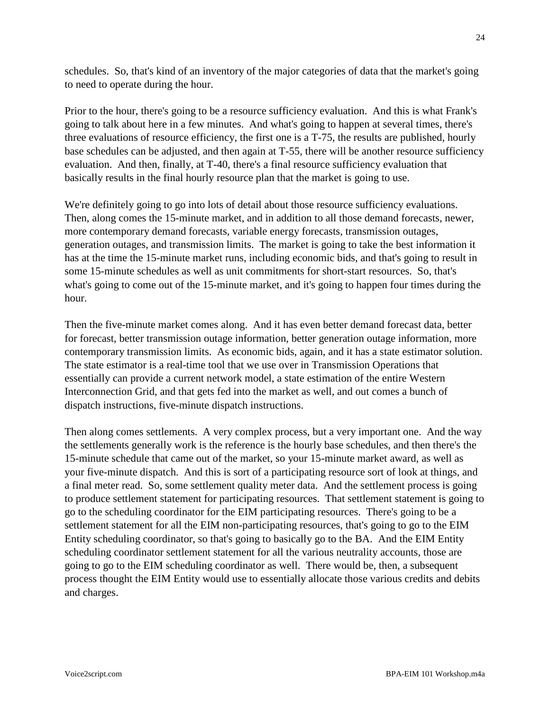schedules. So, that's kind of an inventory of the major categories of data that the market's going to need to operate during the hour.

Prior to the hour, there's going to be a resource sufficiency evaluation. And this is what Frank's going to talk about here in a few minutes. And what's going to happen at several times, there's three evaluations of resource efficiency, the first one is a T-75, the results are published, hourly base schedules can be adjusted, and then again at T-55, there will be another resource sufficiency evaluation. And then, finally, at T-40, there's a final resource sufficiency evaluation that basically results in the final hourly resource plan that the market is going to use.

We're definitely going to go into lots of detail about those resource sufficiency evaluations. Then, along comes the 15-minute market, and in addition to all those demand forecasts, newer, more contemporary demand forecasts, variable energy forecasts, transmission outages, generation outages, and transmission limits. The market is going to take the best information it has at the time the 15-minute market runs, including economic bids, and that's going to result in some 15-minute schedules as well as unit commitments for short-start resources. So, that's what's going to come out of the 15-minute market, and it's going to happen four times during the hour.

Then the five-minute market comes along. And it has even better demand forecast data, better for forecast, better transmission outage information, better generation outage information, more contemporary transmission limits. As economic bids, again, and it has a state estimator solution. The state estimator is a real-time tool that we use over in Transmission Operations that essentially can provide a current network model, a state estimation of the entire Western Interconnection Grid, and that gets fed into the market as well, and out comes a bunch of dispatch instructions, five-minute dispatch instructions.

Then along comes settlements. A very complex process, but a very important one. And the way the settlements generally work is the reference is the hourly base schedules, and then there's the 15-minute schedule that came out of the market, so your 15-minute market award, as well as your five-minute dispatch. And this is sort of a participating resource sort of look at things, and a final meter read. So, some settlement quality meter data. And the settlement process is going to produce settlement statement for participating resources. That settlement statement is going to go to the scheduling coordinator for the EIM participating resources. There's going to be a settlement statement for all the EIM non-participating resources, that's going to go to the EIM Entity scheduling coordinator, so that's going to basically go to the BA. And the EIM Entity scheduling coordinator settlement statement for all the various neutrality accounts, those are going to go to the EIM scheduling coordinator as well. There would be, then, a subsequent process thought the EIM Entity would use to essentially allocate those various credits and debits and charges.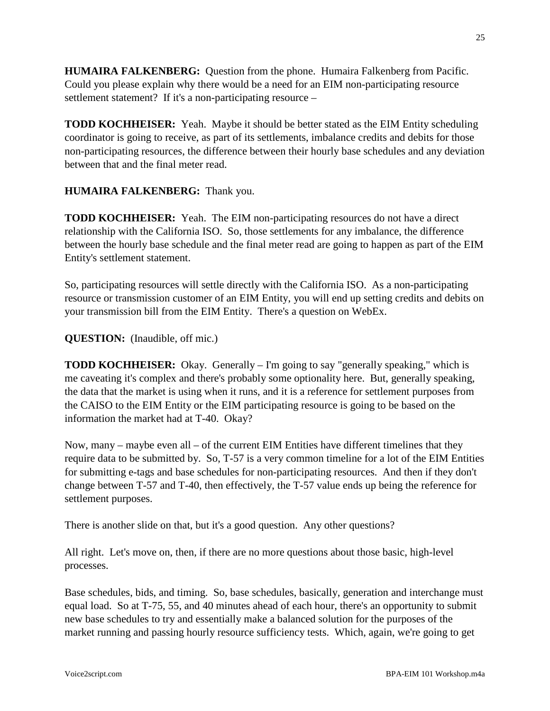**HUMAIRA FALKENBERG:** Question from the phone. Humaira Falkenberg from Pacific. Could you please explain why there would be a need for an EIM non-participating resource settlement statement? If it's a non-participating resource –

**TODD KOCHHEISER:** Yeah. Maybe it should be better stated as the EIM Entity scheduling coordinator is going to receive, as part of its settlements, imbalance credits and debits for those non-participating resources, the difference between their hourly base schedules and any deviation between that and the final meter read.

# **HUMAIRA FALKENBERG:** Thank you.

**TODD KOCHHEISER:** Yeah. The EIM non-participating resources do not have a direct relationship with the California ISO. So, those settlements for any imbalance, the difference between the hourly base schedule and the final meter read are going to happen as part of the EIM Entity's settlement statement.

So, participating resources will settle directly with the California ISO. As a non-participating resource or transmission customer of an EIM Entity, you will end up setting credits and debits on your transmission bill from the EIM Entity. There's a question on WebEx.

# **QUESTION:** (Inaudible, off mic.)

**TODD KOCHHEISER:** Okay. Generally – I'm going to say "generally speaking," which is me caveating it's complex and there's probably some optionality here. But, generally speaking, the data that the market is using when it runs, and it is a reference for settlement purposes from the CAISO to the EIM Entity or the EIM participating resource is going to be based on the information the market had at T-40. Okay?

Now, many – maybe even all – of the current EIM Entities have different timelines that they require data to be submitted by. So, T-57 is a very common timeline for a lot of the EIM Entities for submitting e-tags and base schedules for non-participating resources. And then if they don't change between T-57 and T-40, then effectively, the T-57 value ends up being the reference for settlement purposes.

There is another slide on that, but it's a good question. Any other questions?

All right. Let's move on, then, if there are no more questions about those basic, high-level processes.

Base schedules, bids, and timing. So, base schedules, basically, generation and interchange must equal load. So at T-75, 55, and 40 minutes ahead of each hour, there's an opportunity to submit new base schedules to try and essentially make a balanced solution for the purposes of the market running and passing hourly resource sufficiency tests. Which, again, we're going to get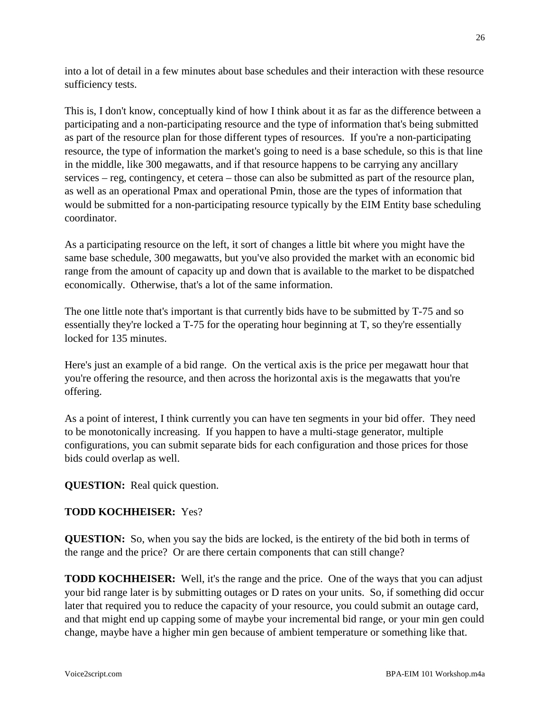into a lot of detail in a few minutes about base schedules and their interaction with these resource sufficiency tests.

This is, I don't know, conceptually kind of how I think about it as far as the difference between a participating and a non-participating resource and the type of information that's being submitted as part of the resource plan for those different types of resources. If you're a non-participating resource, the type of information the market's going to need is a base schedule, so this is that line in the middle, like 300 megawatts, and if that resource happens to be carrying any ancillary services – reg, contingency, et cetera – those can also be submitted as part of the resource plan, as well as an operational Pmax and operational Pmin, those are the types of information that would be submitted for a non-participating resource typically by the EIM Entity base scheduling coordinator.

As a participating resource on the left, it sort of changes a little bit where you might have the same base schedule, 300 megawatts, but you've also provided the market with an economic bid range from the amount of capacity up and down that is available to the market to be dispatched economically. Otherwise, that's a lot of the same information.

The one little note that's important is that currently bids have to be submitted by T-75 and so essentially they're locked a T-75 for the operating hour beginning at T, so they're essentially locked for 135 minutes.

Here's just an example of a bid range. On the vertical axis is the price per megawatt hour that you're offering the resource, and then across the horizontal axis is the megawatts that you're offering.

As a point of interest, I think currently you can have ten segments in your bid offer. They need to be monotonically increasing. If you happen to have a multi-stage generator, multiple configurations, you can submit separate bids for each configuration and those prices for those bids could overlap as well.

**QUESTION:** Real quick question.

### **TODD KOCHHEISER:** Yes?

**QUESTION:** So, when you say the bids are locked, is the entirety of the bid both in terms of the range and the price? Or are there certain components that can still change?

**TODD KOCHHEISER:** Well, it's the range and the price. One of the ways that you can adjust your bid range later is by submitting outages or D rates on your units. So, if something did occur later that required you to reduce the capacity of your resource, you could submit an outage card, and that might end up capping some of maybe your incremental bid range, or your min gen could change, maybe have a higher min gen because of ambient temperature or something like that.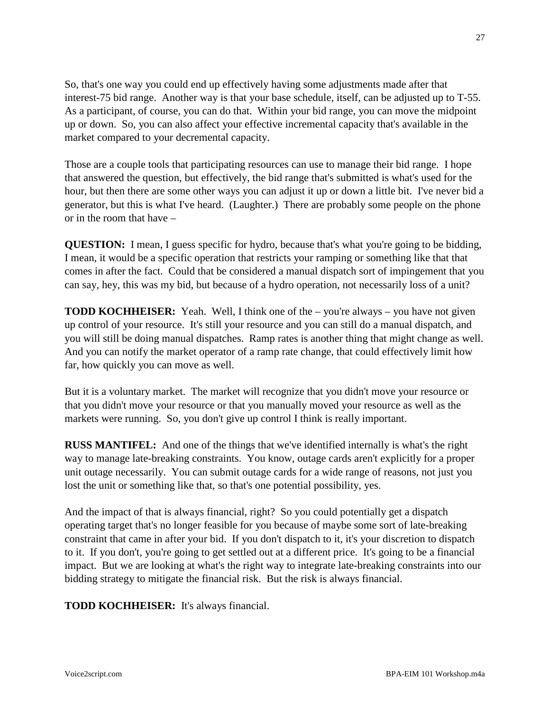So, that's one way you could end up effectively having some adjustments made after that interest-75 bid range. Another way is that your base schedule, itself, can be adjusted up to T-55. As a participant, of course, you can do that. Within your bid range, you can move the midpoint up or down. So, you can also affect your effective incremental capacity that's available in the market compared to your decremental capacity.

Those are a couple tools that participating resources can use to manage their bid range. I hope that answered the question, but effectively, the bid range that's submitted is what's used for the hour, but then there are some other ways you can adjust it up or down a little bit. I've never bid a generator, but this is what I've heard. (Laughter.) There are probably some people on the phone or in the room that have –

**QUESTION:** I mean, I guess specific for hydro, because that's what you're going to be bidding, I mean, it would be a specific operation that restricts your ramping or something like that that comes in after the fact. Could that be considered a manual dispatch sort of impingement that you can say, hey, this was my bid, but because of a hydro operation, not necessarily loss of a unit?

**TODD KOCHHEISER:** Yeah. Well, I think one of the – you're always – you have not given up control of your resource. It's still your resource and you can still do a manual dispatch, and you will still be doing manual dispatches. Ramp rates is another thing that might change as well. And you can notify the market operator of a ramp rate change, that could effectively limit how far, how quickly you can move as well.

But it is a voluntary market. The market will recognize that you didn't move your resource or that you didn't move your resource or that you manually moved your resource as well as the markets were running. So, you don't give up control I think is really important.

**RUSS MANTIFEL:** And one of the things that we've identified internally is what's the right way to manage late-breaking constraints. You know, outage cards aren't explicitly for a proper unit outage necessarily. You can submit outage cards for a wide range of reasons, not just you lost the unit or something like that, so that's one potential possibility, yes.

And the impact of that is always financial, right? So you could potentially get a dispatch operating target that's no longer feasible for you because of maybe some sort of late-breaking constraint that came in after your bid. If you don't dispatch to it, it's your discretion to dispatch to it. If you don't, you're going to get settled out at a different price. It's going to be a financial impact. But we are looking at what's the right way to integrate late-breaking constraints into our bidding strategy to mitigate the financial risk. But the risk is always financial.

**TODD KOCHHEISER:** It's always financial.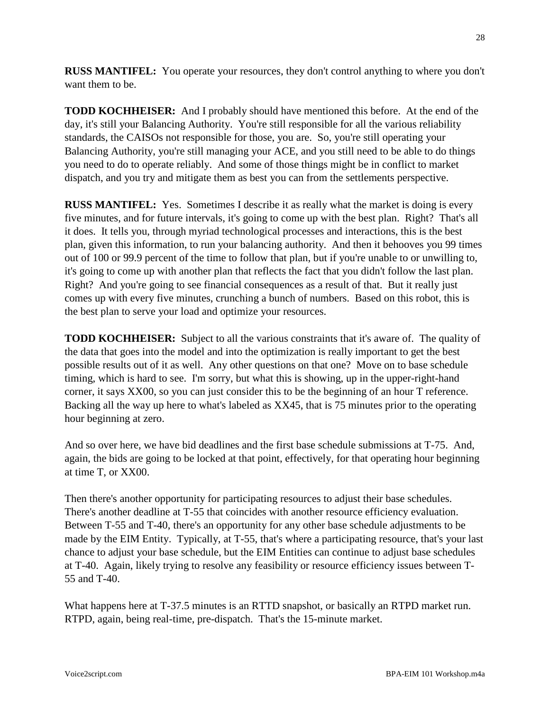**RUSS MANTIFEL:** You operate your resources, they don't control anything to where you don't want them to be.

**TODD KOCHHEISER:** And I probably should have mentioned this before. At the end of the day, it's still your Balancing Authority. You're still responsible for all the various reliability standards, the CAISOs not responsible for those, you are. So, you're still operating your Balancing Authority, you're still managing your ACE, and you still need to be able to do things you need to do to operate reliably. And some of those things might be in conflict to market dispatch, and you try and mitigate them as best you can from the settlements perspective.

**RUSS MANTIFEL:** Yes. Sometimes I describe it as really what the market is doing is every five minutes, and for future intervals, it's going to come up with the best plan. Right? That's all it does. It tells you, through myriad technological processes and interactions, this is the best plan, given this information, to run your balancing authority. And then it behooves you 99 times out of 100 or 99.9 percent of the time to follow that plan, but if you're unable to or unwilling to, it's going to come up with another plan that reflects the fact that you didn't follow the last plan. Right? And you're going to see financial consequences as a result of that. But it really just comes up with every five minutes, crunching a bunch of numbers. Based on this robot, this is the best plan to serve your load and optimize your resources.

**TODD KOCHHEISER:** Subject to all the various constraints that it's aware of. The quality of the data that goes into the model and into the optimization is really important to get the best possible results out of it as well. Any other questions on that one? Move on to base schedule timing, which is hard to see. I'm sorry, but what this is showing, up in the upper-right-hand corner, it says XX00, so you can just consider this to be the beginning of an hour T reference. Backing all the way up here to what's labeled as XX45, that is 75 minutes prior to the operating hour beginning at zero.

And so over here, we have bid deadlines and the first base schedule submissions at T-75. And, again, the bids are going to be locked at that point, effectively, for that operating hour beginning at time T, or XX00.

Then there's another opportunity for participating resources to adjust their base schedules. There's another deadline at T-55 that coincides with another resource efficiency evaluation. Between T-55 and T-40, there's an opportunity for any other base schedule adjustments to be made by the EIM Entity. Typically, at T-55, that's where a participating resource, that's your last chance to adjust your base schedule, but the EIM Entities can continue to adjust base schedules at T-40. Again, likely trying to resolve any feasibility or resource efficiency issues between T-55 and T-40.

What happens here at T-37.5 minutes is an RTTD snapshot, or basically an RTPD market run. RTPD, again, being real-time, pre-dispatch. That's the 15-minute market.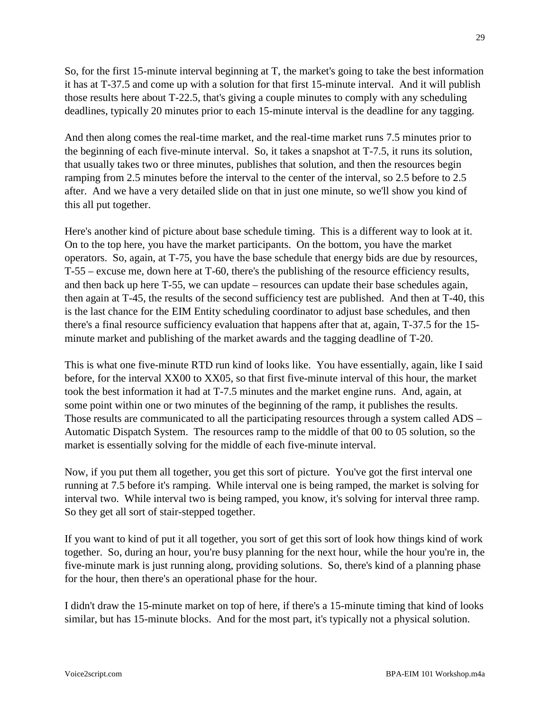So, for the first 15-minute interval beginning at T, the market's going to take the best information it has at T-37.5 and come up with a solution for that first 15-minute interval. And it will publish those results here about T-22.5, that's giving a couple minutes to comply with any scheduling deadlines, typically 20 minutes prior to each 15-minute interval is the deadline for any tagging.

And then along comes the real-time market, and the real-time market runs 7.5 minutes prior to the beginning of each five-minute interval. So, it takes a snapshot at T-7.5, it runs its solution, that usually takes two or three minutes, publishes that solution, and then the resources begin ramping from 2.5 minutes before the interval to the center of the interval, so 2.5 before to 2.5 after. And we have a very detailed slide on that in just one minute, so we'll show you kind of this all put together.

Here's another kind of picture about base schedule timing. This is a different way to look at it. On to the top here, you have the market participants. On the bottom, you have the market operators. So, again, at T-75, you have the base schedule that energy bids are due by resources, T-55 – excuse me, down here at T-60, there's the publishing of the resource efficiency results, and then back up here T-55, we can update – resources can update their base schedules again, then again at T-45, the results of the second sufficiency test are published. And then at T-40, this is the last chance for the EIM Entity scheduling coordinator to adjust base schedules, and then there's a final resource sufficiency evaluation that happens after that at, again, T-37.5 for the 15 minute market and publishing of the market awards and the tagging deadline of T-20.

This is what one five-minute RTD run kind of looks like. You have essentially, again, like I said before, for the interval XX00 to XX05, so that first five-minute interval of this hour, the market took the best information it had at T-7.5 minutes and the market engine runs. And, again, at some point within one or two minutes of the beginning of the ramp, it publishes the results. Those results are communicated to all the participating resources through a system called ADS – Automatic Dispatch System. The resources ramp to the middle of that 00 to 05 solution, so the market is essentially solving for the middle of each five-minute interval.

Now, if you put them all together, you get this sort of picture. You've got the first interval one running at 7.5 before it's ramping. While interval one is being ramped, the market is solving for interval two. While interval two is being ramped, you know, it's solving for interval three ramp. So they get all sort of stair-stepped together.

If you want to kind of put it all together, you sort of get this sort of look how things kind of work together. So, during an hour, you're busy planning for the next hour, while the hour you're in, the five-minute mark is just running along, providing solutions. So, there's kind of a planning phase for the hour, then there's an operational phase for the hour.

I didn't draw the 15-minute market on top of here, if there's a 15-minute timing that kind of looks similar, but has 15-minute blocks. And for the most part, it's typically not a physical solution.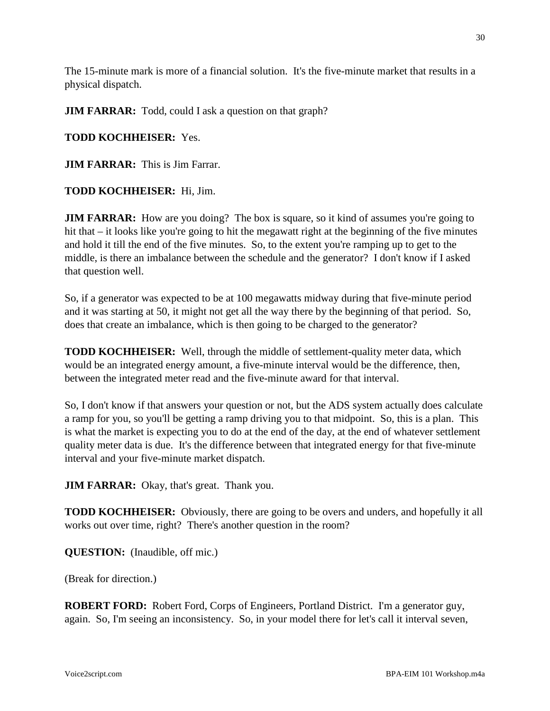The 15-minute mark is more of a financial solution. It's the five-minute market that results in a physical dispatch.

**JIM FARRAR:** Todd, could I ask a question on that graph?

# **TODD KOCHHEISER:** Yes.

**JIM FARRAR:** This is Jim Farrar.

# **TODD KOCHHEISER:** Hi, Jim.

**JIM FARRAR:** How are you doing? The box is square, so it kind of assumes you're going to hit that – it looks like you're going to hit the megawatt right at the beginning of the five minutes and hold it till the end of the five minutes. So, to the extent you're ramping up to get to the middle, is there an imbalance between the schedule and the generator? I don't know if I asked that question well.

So, if a generator was expected to be at 100 megawatts midway during that five-minute period and it was starting at 50, it might not get all the way there by the beginning of that period. So, does that create an imbalance, which is then going to be charged to the generator?

**TODD KOCHHEISER:** Well, through the middle of settlement-quality meter data, which would be an integrated energy amount, a five-minute interval would be the difference, then, between the integrated meter read and the five-minute award for that interval.

So, I don't know if that answers your question or not, but the ADS system actually does calculate a ramp for you, so you'll be getting a ramp driving you to that midpoint. So, this is a plan. This is what the market is expecting you to do at the end of the day, at the end of whatever settlement quality meter data is due. It's the difference between that integrated energy for that five-minute interval and your five-minute market dispatch.

**JIM FARRAR:** Okay, that's great. Thank you.

**TODD KOCHHEISER:** Obviously, there are going to be overs and unders, and hopefully it all works out over time, right? There's another question in the room?

**QUESTION:** (Inaudible, off mic.)

(Break for direction.)

**ROBERT FORD:** Robert Ford, Corps of Engineers, Portland District. I'm a generator guy, again. So, I'm seeing an inconsistency. So, in your model there for let's call it interval seven,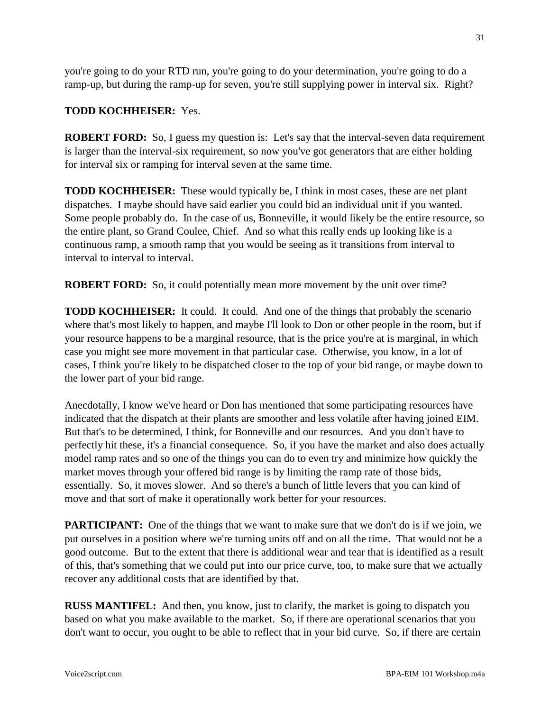you're going to do your RTD run, you're going to do your determination, you're going to do a ramp-up, but during the ramp-up for seven, you're still supplying power in interval six. Right?

# **TODD KOCHHEISER:** Yes.

**ROBERT FORD:** So, I guess my question is: Let's say that the interval-seven data requirement is larger than the interval-six requirement, so now you've got generators that are either holding for interval six or ramping for interval seven at the same time.

**TODD KOCHHEISER:** These would typically be, I think in most cases, these are net plant dispatches. I maybe should have said earlier you could bid an individual unit if you wanted. Some people probably do. In the case of us, Bonneville, it would likely be the entire resource, so the entire plant, so Grand Coulee, Chief. And so what this really ends up looking like is a continuous ramp, a smooth ramp that you would be seeing as it transitions from interval to interval to interval to interval.

**ROBERT FORD:** So, it could potentially mean more movement by the unit over time?

**TODD KOCHHEISER:** It could. It could. And one of the things that probably the scenario where that's most likely to happen, and maybe I'll look to Don or other people in the room, but if your resource happens to be a marginal resource, that is the price you're at is marginal, in which case you might see more movement in that particular case. Otherwise, you know, in a lot of cases, I think you're likely to be dispatched closer to the top of your bid range, or maybe down to the lower part of your bid range.

Anecdotally, I know we've heard or Don has mentioned that some participating resources have indicated that the dispatch at their plants are smoother and less volatile after having joined EIM. But that's to be determined, I think, for Bonneville and our resources. And you don't have to perfectly hit these, it's a financial consequence. So, if you have the market and also does actually model ramp rates and so one of the things you can do to even try and minimize how quickly the market moves through your offered bid range is by limiting the ramp rate of those bids, essentially. So, it moves slower. And so there's a bunch of little levers that you can kind of move and that sort of make it operationally work better for your resources.

**PARTICIPANT:** One of the things that we want to make sure that we don't do is if we join, we put ourselves in a position where we're turning units off and on all the time. That would not be a good outcome. But to the extent that there is additional wear and tear that is identified as a result of this, that's something that we could put into our price curve, too, to make sure that we actually recover any additional costs that are identified by that.

**RUSS MANTIFEL:** And then, you know, just to clarify, the market is going to dispatch you based on what you make available to the market. So, if there are operational scenarios that you don't want to occur, you ought to be able to reflect that in your bid curve. So, if there are certain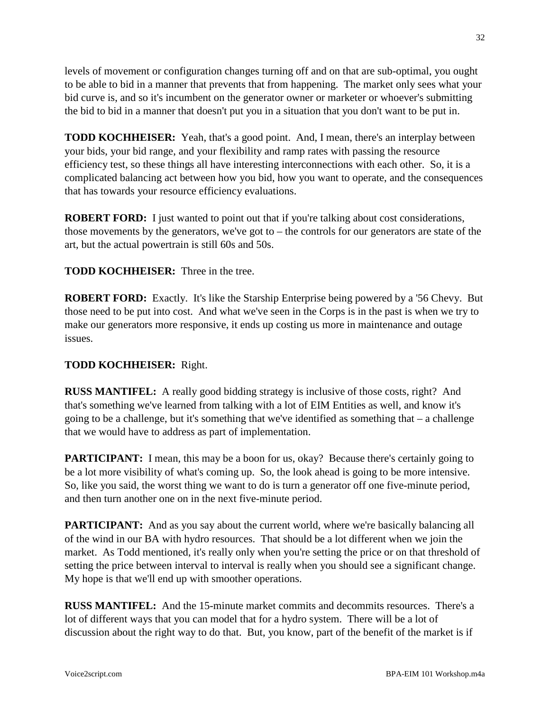levels of movement or configuration changes turning off and on that are sub-optimal, you ought to be able to bid in a manner that prevents that from happening. The market only sees what your bid curve is, and so it's incumbent on the generator owner or marketer or whoever's submitting the bid to bid in a manner that doesn't put you in a situation that you don't want to be put in.

**TODD KOCHHEISER:** Yeah, that's a good point. And, I mean, there's an interplay between your bids, your bid range, and your flexibility and ramp rates with passing the resource efficiency test, so these things all have interesting interconnections with each other. So, it is a complicated balancing act between how you bid, how you want to operate, and the consequences that has towards your resource efficiency evaluations.

**ROBERT FORD:** I just wanted to point out that if you're talking about cost considerations, those movements by the generators, we've got to – the controls for our generators are state of the art, but the actual powertrain is still 60s and 50s.

**TODD KOCHHEISER:** Three in the tree.

**ROBERT FORD:** Exactly. It's like the Starship Enterprise being powered by a '56 Chevy. But those need to be put into cost. And what we've seen in the Corps is in the past is when we try to make our generators more responsive, it ends up costing us more in maintenance and outage issues.

### **TODD KOCHHEISER:** Right.

**RUSS MANTIFEL:** A really good bidding strategy is inclusive of those costs, right? And that's something we've learned from talking with a lot of EIM Entities as well, and know it's going to be a challenge, but it's something that we've identified as something that – a challenge that we would have to address as part of implementation.

**PARTICIPANT:** I mean, this may be a boon for us, okay? Because there's certainly going to be a lot more visibility of what's coming up. So, the look ahead is going to be more intensive. So, like you said, the worst thing we want to do is turn a generator off one five-minute period, and then turn another one on in the next five-minute period.

**PARTICIPANT:** And as you say about the current world, where we're basically balancing all of the wind in our BA with hydro resources. That should be a lot different when we join the market. As Todd mentioned, it's really only when you're setting the price or on that threshold of setting the price between interval to interval is really when you should see a significant change. My hope is that we'll end up with smoother operations.

**RUSS MANTIFEL:** And the 15-minute market commits and decommits resources. There's a lot of different ways that you can model that for a hydro system. There will be a lot of discussion about the right way to do that. But, you know, part of the benefit of the market is if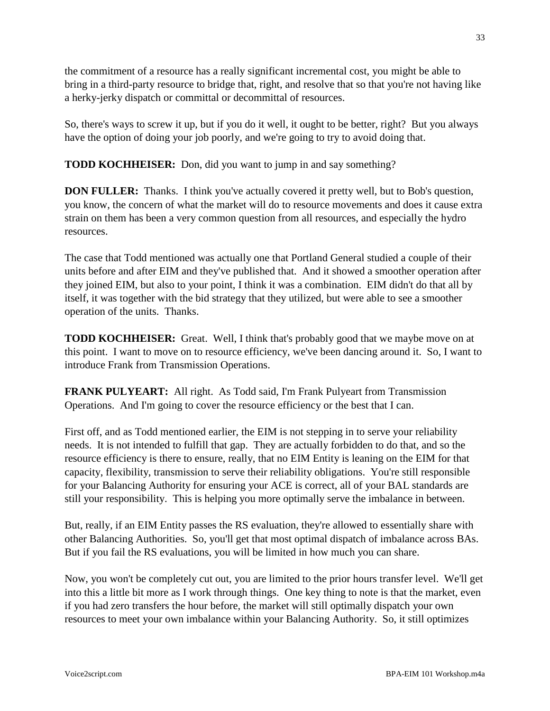the commitment of a resource has a really significant incremental cost, you might be able to bring in a third-party resource to bridge that, right, and resolve that so that you're not having like a herky-jerky dispatch or committal or decommittal of resources.

So, there's ways to screw it up, but if you do it well, it ought to be better, right? But you always have the option of doing your job poorly, and we're going to try to avoid doing that.

**TODD KOCHHEISER:** Don, did you want to jump in and say something?

**DON FULLER:** Thanks. I think you've actually covered it pretty well, but to Bob's question, you know, the concern of what the market will do to resource movements and does it cause extra strain on them has been a very common question from all resources, and especially the hydro resources.

The case that Todd mentioned was actually one that Portland General studied a couple of their units before and after EIM and they've published that. And it showed a smoother operation after they joined EIM, but also to your point, I think it was a combination. EIM didn't do that all by itself, it was together with the bid strategy that they utilized, but were able to see a smoother operation of the units. Thanks.

**TODD KOCHHEISER:** Great. Well, I think that's probably good that we maybe move on at this point. I want to move on to resource efficiency, we've been dancing around it. So, I want to introduce Frank from Transmission Operations.

**FRANK PULYEART:** All right. As Todd said, I'm Frank Pulyeart from Transmission Operations. And I'm going to cover the resource efficiency or the best that I can.

First off, and as Todd mentioned earlier, the EIM is not stepping in to serve your reliability needs. It is not intended to fulfill that gap. They are actually forbidden to do that, and so the resource efficiency is there to ensure, really, that no EIM Entity is leaning on the EIM for that capacity, flexibility, transmission to serve their reliability obligations. You're still responsible for your Balancing Authority for ensuring your ACE is correct, all of your BAL standards are still your responsibility. This is helping you more optimally serve the imbalance in between.

But, really, if an EIM Entity passes the RS evaluation, they're allowed to essentially share with other Balancing Authorities. So, you'll get that most optimal dispatch of imbalance across BAs. But if you fail the RS evaluations, you will be limited in how much you can share.

Now, you won't be completely cut out, you are limited to the prior hours transfer level. We'll get into this a little bit more as I work through things. One key thing to note is that the market, even if you had zero transfers the hour before, the market will still optimally dispatch your own resources to meet your own imbalance within your Balancing Authority. So, it still optimizes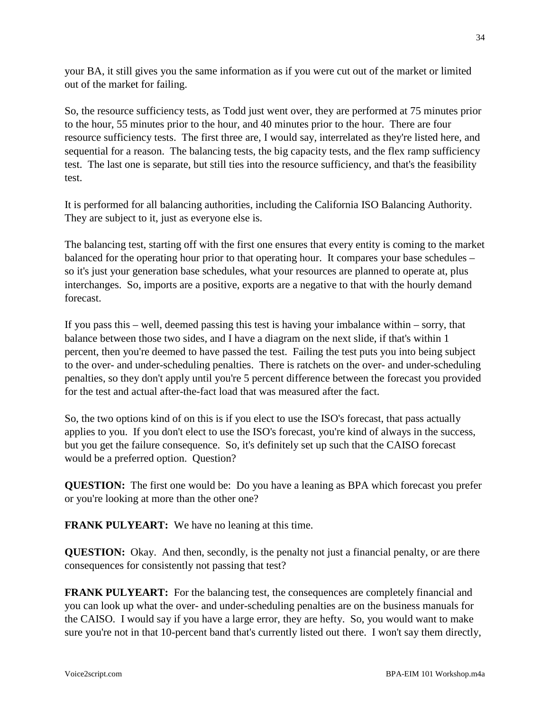your BA, it still gives you the same information as if you were cut out of the market or limited out of the market for failing.

So, the resource sufficiency tests, as Todd just went over, they are performed at 75 minutes prior to the hour, 55 minutes prior to the hour, and 40 minutes prior to the hour. There are four resource sufficiency tests. The first three are, I would say, interrelated as they're listed here, and sequential for a reason. The balancing tests, the big capacity tests, and the flex ramp sufficiency test. The last one is separate, but still ties into the resource sufficiency, and that's the feasibility test.

It is performed for all balancing authorities, including the California ISO Balancing Authority. They are subject to it, just as everyone else is.

The balancing test, starting off with the first one ensures that every entity is coming to the market balanced for the operating hour prior to that operating hour. It compares your base schedules – so it's just your generation base schedules, what your resources are planned to operate at, plus interchanges. So, imports are a positive, exports are a negative to that with the hourly demand forecast.

If you pass this – well, deemed passing this test is having your imbalance within – sorry, that balance between those two sides, and I have a diagram on the next slide, if that's within 1 percent, then you're deemed to have passed the test. Failing the test puts you into being subject to the over- and under-scheduling penalties. There is ratchets on the over- and under-scheduling penalties, so they don't apply until you're 5 percent difference between the forecast you provided for the test and actual after-the-fact load that was measured after the fact.

So, the two options kind of on this is if you elect to use the ISO's forecast, that pass actually applies to you. If you don't elect to use the ISO's forecast, you're kind of always in the success, but you get the failure consequence. So, it's definitely set up such that the CAISO forecast would be a preferred option. Question?

**QUESTION:** The first one would be: Do you have a leaning as BPA which forecast you prefer or you're looking at more than the other one?

**FRANK PULYEART:** We have no leaning at this time.

**QUESTION:** Okay. And then, secondly, is the penalty not just a financial penalty, or are there consequences for consistently not passing that test?

**FRANK PULYEART:** For the balancing test, the consequences are completely financial and you can look up what the over- and under-scheduling penalties are on the business manuals for the CAISO. I would say if you have a large error, they are hefty. So, you would want to make sure you're not in that 10-percent band that's currently listed out there. I won't say them directly,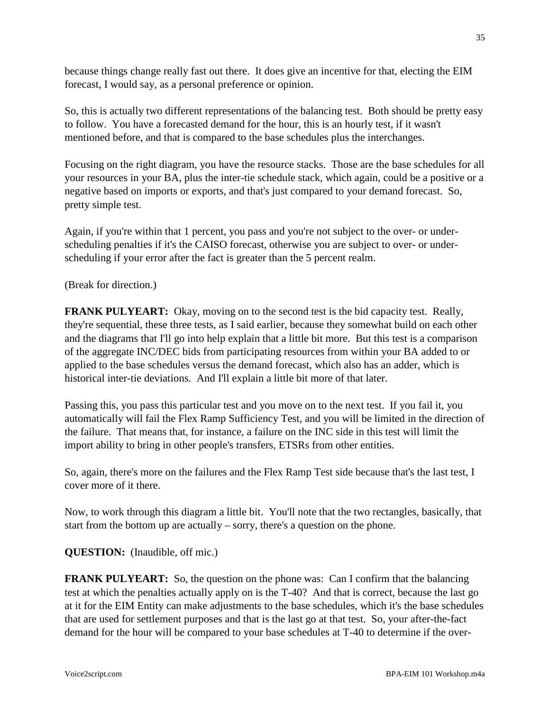because things change really fast out there. It does give an incentive for that, electing the EIM forecast, I would say, as a personal preference or opinion.

So, this is actually two different representations of the balancing test. Both should be pretty easy to follow. You have a forecasted demand for the hour, this is an hourly test, if it wasn't mentioned before, and that is compared to the base schedules plus the interchanges.

Focusing on the right diagram, you have the resource stacks. Those are the base schedules for all your resources in your BA, plus the inter-tie schedule stack, which again, could be a positive or a negative based on imports or exports, and that's just compared to your demand forecast. So, pretty simple test.

Again, if you're within that 1 percent, you pass and you're not subject to the over- or underscheduling penalties if it's the CAISO forecast, otherwise you are subject to over- or underscheduling if your error after the fact is greater than the 5 percent realm.

(Break for direction.)

**FRANK PULYEART:** Okay, moving on to the second test is the bid capacity test. Really, they're sequential, these three tests, as I said earlier, because they somewhat build on each other and the diagrams that I'll go into help explain that a little bit more. But this test is a comparison of the aggregate INC/DEC bids from participating resources from within your BA added to or applied to the base schedules versus the demand forecast, which also has an adder, which is historical inter-tie deviations. And I'll explain a little bit more of that later.

Passing this, you pass this particular test and you move on to the next test. If you fail it, you automatically will fail the Flex Ramp Sufficiency Test, and you will be limited in the direction of the failure. That means that, for instance, a failure on the INC side in this test will limit the import ability to bring in other people's transfers, ETSRs from other entities.

So, again, there's more on the failures and the Flex Ramp Test side because that's the last test, I cover more of it there.

Now, to work through this diagram a little bit. You'll note that the two rectangles, basically, that start from the bottom up are actually – sorry, there's a question on the phone.

**QUESTION:** (Inaudible, off mic.)

**FRANK PULYEART:** So, the question on the phone was: Can I confirm that the balancing test at which the penalties actually apply on is the T-40? And that is correct, because the last go at it for the EIM Entity can make adjustments to the base schedules, which it's the base schedules that are used for settlement purposes and that is the last go at that test. So, your after-the-fact demand for the hour will be compared to your base schedules at T-40 to determine if the over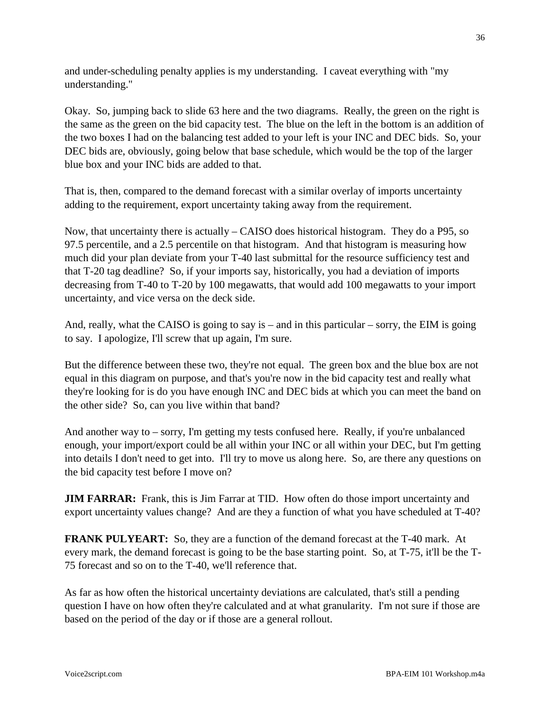and under-scheduling penalty applies is my understanding. I caveat everything with "my understanding."

Okay. So, jumping back to slide 63 here and the two diagrams. Really, the green on the right is the same as the green on the bid capacity test. The blue on the left in the bottom is an addition of the two boxes I had on the balancing test added to your left is your INC and DEC bids. So, your DEC bids are, obviously, going below that base schedule, which would be the top of the larger blue box and your INC bids are added to that.

That is, then, compared to the demand forecast with a similar overlay of imports uncertainty adding to the requirement, export uncertainty taking away from the requirement.

Now, that uncertainty there is actually – CAISO does historical histogram. They do a P95, so 97.5 percentile, and a 2.5 percentile on that histogram. And that histogram is measuring how much did your plan deviate from your T-40 last submittal for the resource sufficiency test and that T-20 tag deadline? So, if your imports say, historically, you had a deviation of imports decreasing from T-40 to T-20 by 100 megawatts, that would add 100 megawatts to your import uncertainty, and vice versa on the deck side.

And, really, what the CAISO is going to say is – and in this particular – sorry, the EIM is going to say. I apologize, I'll screw that up again, I'm sure.

But the difference between these two, they're not equal. The green box and the blue box are not equal in this diagram on purpose, and that's you're now in the bid capacity test and really what they're looking for is do you have enough INC and DEC bids at which you can meet the band on the other side? So, can you live within that band?

And another way to – sorry, I'm getting my tests confused here. Really, if you're unbalanced enough, your import/export could be all within your INC or all within your DEC, but I'm getting into details I don't need to get into. I'll try to move us along here. So, are there any questions on the bid capacity test before I move on?

**JIM FARRAR:** Frank, this is Jim Farrar at TID. How often do those import uncertainty and export uncertainty values change? And are they a function of what you have scheduled at T-40?

**FRANK PULYEART:** So, they are a function of the demand forecast at the T-40 mark. At every mark, the demand forecast is going to be the base starting point. So, at T-75, it'll be the T-75 forecast and so on to the T-40, we'll reference that.

As far as how often the historical uncertainty deviations are calculated, that's still a pending question I have on how often they're calculated and at what granularity. I'm not sure if those are based on the period of the day or if those are a general rollout.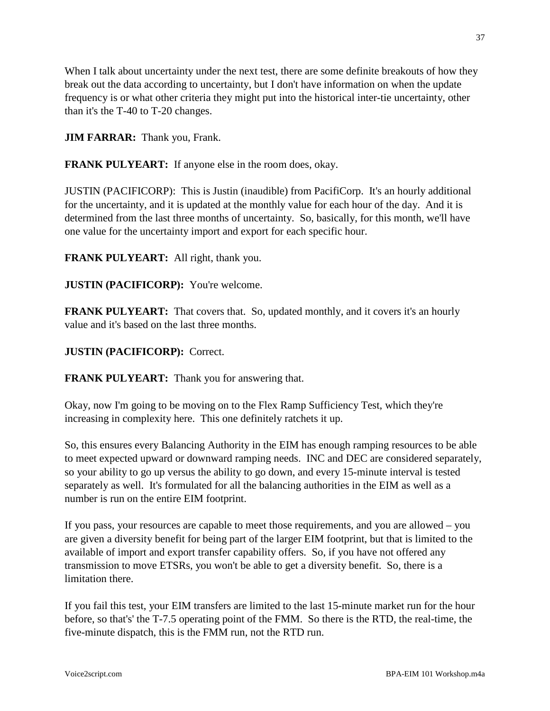When I talk about uncertainty under the next test, there are some definite breakouts of how they break out the data according to uncertainty, but I don't have information on when the update frequency is or what other criteria they might put into the historical inter-tie uncertainty, other than it's the T-40 to T-20 changes.

**JIM FARRAR:** Thank you, Frank.

**FRANK PULYEART:** If anyone else in the room does, okay.

JUSTIN (PACIFICORP): This is Justin (inaudible) from PacifiCorp. It's an hourly additional for the uncertainty, and it is updated at the monthly value for each hour of the day. And it is determined from the last three months of uncertainty. So, basically, for this month, we'll have one value for the uncertainty import and export for each specific hour.

**FRANK PULYEART:** All right, thank you.

**JUSTIN (PACIFICORP):** You're welcome.

**FRANK PULYEART:** That covers that. So, updated monthly, and it covers it's an hourly value and it's based on the last three months.

### **JUSTIN (PACIFICORP):** Correct.

**FRANK PULYEART:** Thank you for answering that.

Okay, now I'm going to be moving on to the Flex Ramp Sufficiency Test, which they're increasing in complexity here. This one definitely ratchets it up.

So, this ensures every Balancing Authority in the EIM has enough ramping resources to be able to meet expected upward or downward ramping needs. INC and DEC are considered separately, so your ability to go up versus the ability to go down, and every 15-minute interval is tested separately as well. It's formulated for all the balancing authorities in the EIM as well as a number is run on the entire EIM footprint.

If you pass, your resources are capable to meet those requirements, and you are allowed – you are given a diversity benefit for being part of the larger EIM footprint, but that is limited to the available of import and export transfer capability offers. So, if you have not offered any transmission to move ETSRs, you won't be able to get a diversity benefit. So, there is a limitation there.

If you fail this test, your EIM transfers are limited to the last 15-minute market run for the hour before, so that's' the T-7.5 operating point of the FMM. So there is the RTD, the real-time, the five-minute dispatch, this is the FMM run, not the RTD run.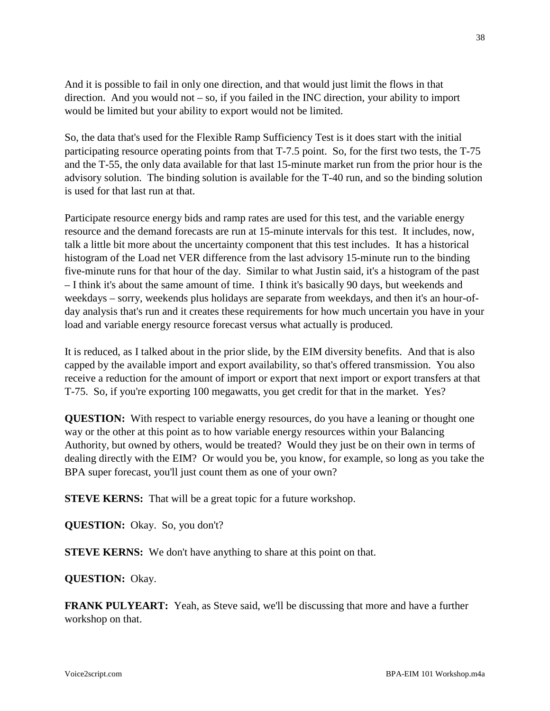And it is possible to fail in only one direction, and that would just limit the flows in that direction. And you would not – so, if you failed in the INC direction, your ability to import would be limited but your ability to export would not be limited.

So, the data that's used for the Flexible Ramp Sufficiency Test is it does start with the initial participating resource operating points from that T-7.5 point. So, for the first two tests, the T-75 and the T-55, the only data available for that last 15-minute market run from the prior hour is the advisory solution. The binding solution is available for the T-40 run, and so the binding solution is used for that last run at that.

Participate resource energy bids and ramp rates are used for this test, and the variable energy resource and the demand forecasts are run at 15-minute intervals for this test. It includes, now, talk a little bit more about the uncertainty component that this test includes. It has a historical histogram of the Load net VER difference from the last advisory 15-minute run to the binding five-minute runs for that hour of the day. Similar to what Justin said, it's a histogram of the past – I think it's about the same amount of time. I think it's basically 90 days, but weekends and weekdays – sorry, weekends plus holidays are separate from weekdays, and then it's an hour-ofday analysis that's run and it creates these requirements for how much uncertain you have in your load and variable energy resource forecast versus what actually is produced.

It is reduced, as I talked about in the prior slide, by the EIM diversity benefits. And that is also capped by the available import and export availability, so that's offered transmission. You also receive a reduction for the amount of import or export that next import or export transfers at that T-75. So, if you're exporting 100 megawatts, you get credit for that in the market. Yes?

**QUESTION:** With respect to variable energy resources, do you have a leaning or thought one way or the other at this point as to how variable energy resources within your Balancing Authority, but owned by others, would be treated? Would they just be on their own in terms of dealing directly with the EIM? Or would you be, you know, for example, so long as you take the BPA super forecast, you'll just count them as one of your own?

**STEVE KERNS:** That will be a great topic for a future workshop.

**QUESTION:** Okay. So, you don't?

**STEVE KERNS:** We don't have anything to share at this point on that.

**QUESTION:** Okay.

**FRANK PULYEART:** Yeah, as Steve said, we'll be discussing that more and have a further workshop on that.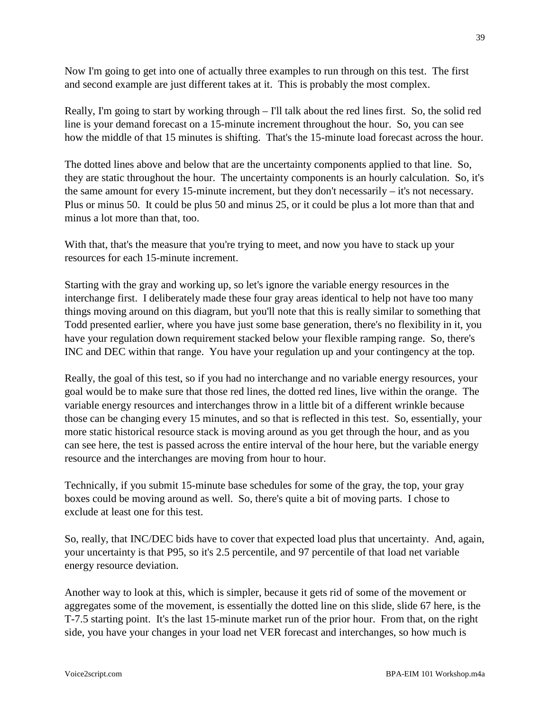Now I'm going to get into one of actually three examples to run through on this test. The first and second example are just different takes at it. This is probably the most complex.

Really, I'm going to start by working through – I'll talk about the red lines first. So, the solid red line is your demand forecast on a 15-minute increment throughout the hour. So, you can see how the middle of that 15 minutes is shifting. That's the 15-minute load forecast across the hour.

The dotted lines above and below that are the uncertainty components applied to that line. So, they are static throughout the hour. The uncertainty components is an hourly calculation. So, it's the same amount for every 15-minute increment, but they don't necessarily – it's not necessary. Plus or minus 50. It could be plus 50 and minus 25, or it could be plus a lot more than that and minus a lot more than that, too.

With that, that's the measure that you're trying to meet, and now you have to stack up your resources for each 15-minute increment.

Starting with the gray and working up, so let's ignore the variable energy resources in the interchange first. I deliberately made these four gray areas identical to help not have too many things moving around on this diagram, but you'll note that this is really similar to something that Todd presented earlier, where you have just some base generation, there's no flexibility in it, you have your regulation down requirement stacked below your flexible ramping range. So, there's INC and DEC within that range. You have your regulation up and your contingency at the top.

Really, the goal of this test, so if you had no interchange and no variable energy resources, your goal would be to make sure that those red lines, the dotted red lines, live within the orange. The variable energy resources and interchanges throw in a little bit of a different wrinkle because those can be changing every 15 minutes, and so that is reflected in this test. So, essentially, your more static historical resource stack is moving around as you get through the hour, and as you can see here, the test is passed across the entire interval of the hour here, but the variable energy resource and the interchanges are moving from hour to hour.

Technically, if you submit 15-minute base schedules for some of the gray, the top, your gray boxes could be moving around as well. So, there's quite a bit of moving parts. I chose to exclude at least one for this test.

So, really, that INC/DEC bids have to cover that expected load plus that uncertainty. And, again, your uncertainty is that P95, so it's 2.5 percentile, and 97 percentile of that load net variable energy resource deviation.

Another way to look at this, which is simpler, because it gets rid of some of the movement or aggregates some of the movement, is essentially the dotted line on this slide, slide 67 here, is the T-7.5 starting point. It's the last 15-minute market run of the prior hour. From that, on the right side, you have your changes in your load net VER forecast and interchanges, so how much is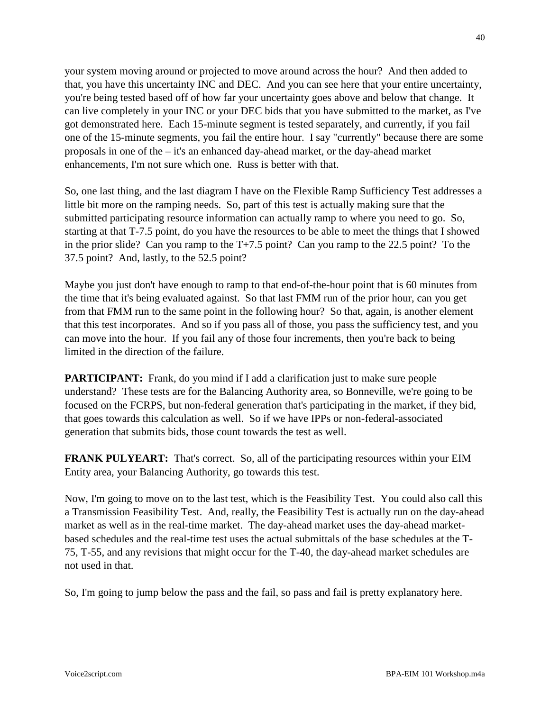your system moving around or projected to move around across the hour? And then added to that, you have this uncertainty INC and DEC. And you can see here that your entire uncertainty, you're being tested based off of how far your uncertainty goes above and below that change. It can live completely in your INC or your DEC bids that you have submitted to the market, as I've got demonstrated here. Each 15-minute segment is tested separately, and currently, if you fail one of the 15-minute segments, you fail the entire hour. I say "currently" because there are some proposals in one of the – it's an enhanced day-ahead market, or the day-ahead market enhancements, I'm not sure which one. Russ is better with that.

So, one last thing, and the last diagram I have on the Flexible Ramp Sufficiency Test addresses a little bit more on the ramping needs. So, part of this test is actually making sure that the submitted participating resource information can actually ramp to where you need to go. So, starting at that T-7.5 point, do you have the resources to be able to meet the things that I showed in the prior slide? Can you ramp to the T+7.5 point? Can you ramp to the 22.5 point? To the 37.5 point? And, lastly, to the 52.5 point?

Maybe you just don't have enough to ramp to that end-of-the-hour point that is 60 minutes from the time that it's being evaluated against. So that last FMM run of the prior hour, can you get from that FMM run to the same point in the following hour? So that, again, is another element that this test incorporates. And so if you pass all of those, you pass the sufficiency test, and you can move into the hour. If you fail any of those four increments, then you're back to being limited in the direction of the failure.

**PARTICIPANT:** Frank, do you mind if I add a clarification just to make sure people understand? These tests are for the Balancing Authority area, so Bonneville, we're going to be focused on the FCRPS, but non-federal generation that's participating in the market, if they bid, that goes towards this calculation as well. So if we have IPPs or non-federal-associated generation that submits bids, those count towards the test as well.

**FRANK PULYEART:** That's correct. So, all of the participating resources within your EIM Entity area, your Balancing Authority, go towards this test.

Now, I'm going to move on to the last test, which is the Feasibility Test. You could also call this a Transmission Feasibility Test. And, really, the Feasibility Test is actually run on the day-ahead market as well as in the real-time market. The day-ahead market uses the day-ahead marketbased schedules and the real-time test uses the actual submittals of the base schedules at the T-75, T-55, and any revisions that might occur for the T-40, the day-ahead market schedules are not used in that.

So, I'm going to jump below the pass and the fail, so pass and fail is pretty explanatory here.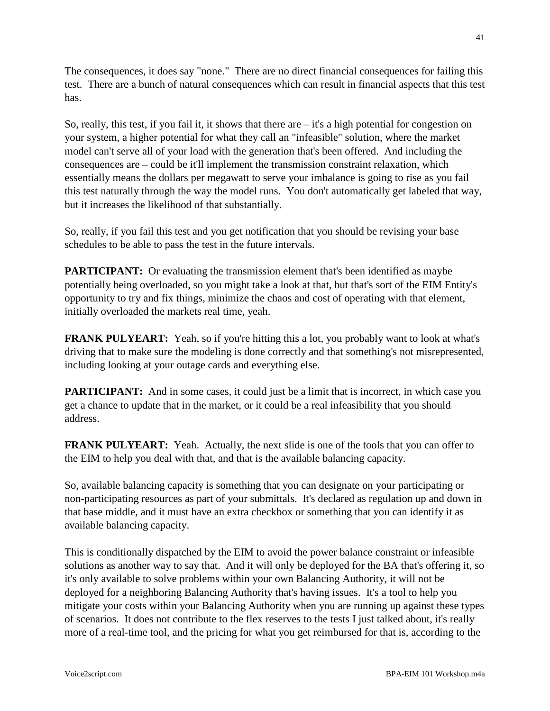The consequences, it does say "none." There are no direct financial consequences for failing this test. There are a bunch of natural consequences which can result in financial aspects that this test has.

So, really, this test, if you fail it, it shows that there are  $-i$  t's a high potential for congestion on your system, a higher potential for what they call an "infeasible" solution, where the market model can't serve all of your load with the generation that's been offered. And including the consequences are – could be it'll implement the transmission constraint relaxation, which essentially means the dollars per megawatt to serve your imbalance is going to rise as you fail this test naturally through the way the model runs. You don't automatically get labeled that way, but it increases the likelihood of that substantially.

So, really, if you fail this test and you get notification that you should be revising your base schedules to be able to pass the test in the future intervals.

**PARTICIPANT:** Or evaluating the transmission element that's been identified as maybe potentially being overloaded, so you might take a look at that, but that's sort of the EIM Entity's opportunity to try and fix things, minimize the chaos and cost of operating with that element, initially overloaded the markets real time, yeah.

**FRANK PULYEART:** Yeah, so if you're hitting this a lot, you probably want to look at what's driving that to make sure the modeling is done correctly and that something's not misrepresented, including looking at your outage cards and everything else.

**PARTICIPANT:** And in some cases, it could just be a limit that is incorrect, in which case you get a chance to update that in the market, or it could be a real infeasibility that you should address.

**FRANK PULYEART:** Yeah. Actually, the next slide is one of the tools that you can offer to the EIM to help you deal with that, and that is the available balancing capacity.

So, available balancing capacity is something that you can designate on your participating or non-participating resources as part of your submittals. It's declared as regulation up and down in that base middle, and it must have an extra checkbox or something that you can identify it as available balancing capacity.

This is conditionally dispatched by the EIM to avoid the power balance constraint or infeasible solutions as another way to say that. And it will only be deployed for the BA that's offering it, so it's only available to solve problems within your own Balancing Authority, it will not be deployed for a neighboring Balancing Authority that's having issues. It's a tool to help you mitigate your costs within your Balancing Authority when you are running up against these types of scenarios. It does not contribute to the flex reserves to the tests I just talked about, it's really more of a real-time tool, and the pricing for what you get reimbursed for that is, according to the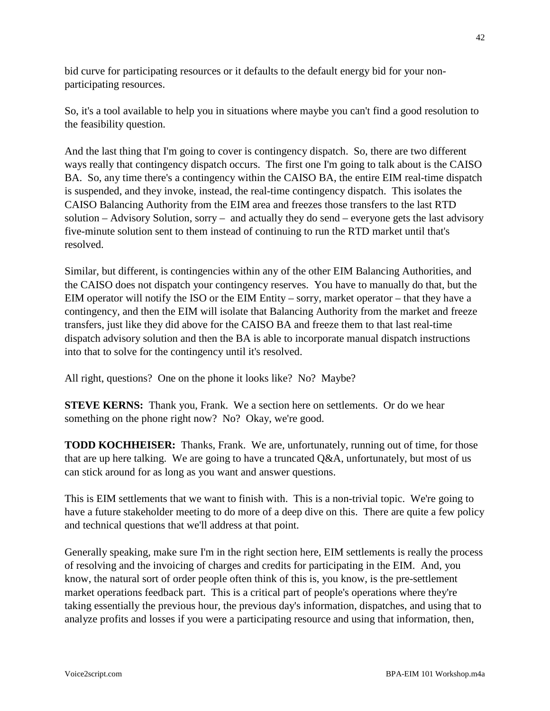bid curve for participating resources or it defaults to the default energy bid for your nonparticipating resources.

So, it's a tool available to help you in situations where maybe you can't find a good resolution to the feasibility question.

And the last thing that I'm going to cover is contingency dispatch. So, there are two different ways really that contingency dispatch occurs. The first one I'm going to talk about is the CAISO BA. So, any time there's a contingency within the CAISO BA, the entire EIM real-time dispatch is suspended, and they invoke, instead, the real-time contingency dispatch. This isolates the CAISO Balancing Authority from the EIM area and freezes those transfers to the last RTD solution – Advisory Solution, sorry – and actually they do send – everyone gets the last advisory five-minute solution sent to them instead of continuing to run the RTD market until that's resolved.

Similar, but different, is contingencies within any of the other EIM Balancing Authorities, and the CAISO does not dispatch your contingency reserves. You have to manually do that, but the EIM operator will notify the ISO or the EIM Entity – sorry, market operator – that they have a contingency, and then the EIM will isolate that Balancing Authority from the market and freeze transfers, just like they did above for the CAISO BA and freeze them to that last real-time dispatch advisory solution and then the BA is able to incorporate manual dispatch instructions into that to solve for the contingency until it's resolved.

All right, questions? One on the phone it looks like? No? Maybe?

**STEVE KERNS:** Thank you, Frank. We a section here on settlements. Or do we hear something on the phone right now? No? Okay, we're good.

**TODD KOCHHEISER:** Thanks, Frank. We are, unfortunately, running out of time, for those that are up here talking. We are going to have a truncated  $Q&A$ , unfortunately, but most of us can stick around for as long as you want and answer questions.

This is EIM settlements that we want to finish with. This is a non-trivial topic. We're going to have a future stakeholder meeting to do more of a deep dive on this. There are quite a few policy and technical questions that we'll address at that point.

Generally speaking, make sure I'm in the right section here, EIM settlements is really the process of resolving and the invoicing of charges and credits for participating in the EIM. And, you know, the natural sort of order people often think of this is, you know, is the pre-settlement market operations feedback part. This is a critical part of people's operations where they're taking essentially the previous hour, the previous day's information, dispatches, and using that to analyze profits and losses if you were a participating resource and using that information, then,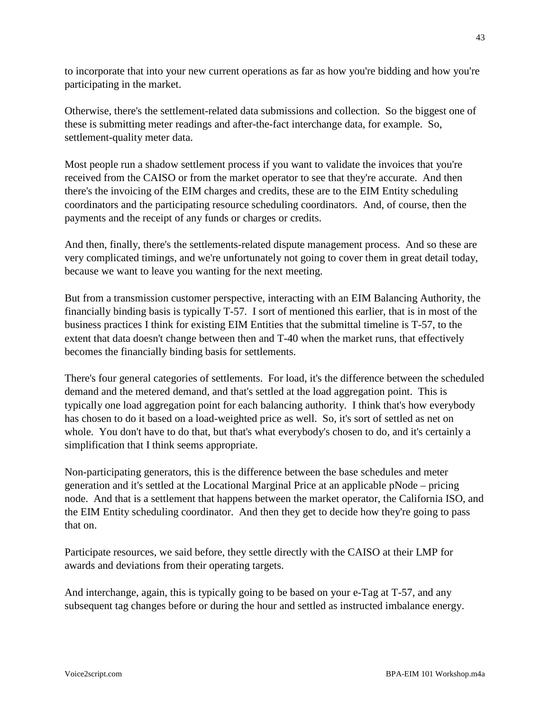to incorporate that into your new current operations as far as how you're bidding and how you're participating in the market.

Otherwise, there's the settlement-related data submissions and collection. So the biggest one of these is submitting meter readings and after-the-fact interchange data, for example. So, settlement-quality meter data.

Most people run a shadow settlement process if you want to validate the invoices that you're received from the CAISO or from the market operator to see that they're accurate. And then there's the invoicing of the EIM charges and credits, these are to the EIM Entity scheduling coordinators and the participating resource scheduling coordinators. And, of course, then the payments and the receipt of any funds or charges or credits.

And then, finally, there's the settlements-related dispute management process. And so these are very complicated timings, and we're unfortunately not going to cover them in great detail today, because we want to leave you wanting for the next meeting.

But from a transmission customer perspective, interacting with an EIM Balancing Authority, the financially binding basis is typically T-57. I sort of mentioned this earlier, that is in most of the business practices I think for existing EIM Entities that the submittal timeline is T-57, to the extent that data doesn't change between then and T-40 when the market runs, that effectively becomes the financially binding basis for settlements.

There's four general categories of settlements. For load, it's the difference between the scheduled demand and the metered demand, and that's settled at the load aggregation point. This is typically one load aggregation point for each balancing authority. I think that's how everybody has chosen to do it based on a load-weighted price as well. So, it's sort of settled as net on whole. You don't have to do that, but that's what everybody's chosen to do, and it's certainly a simplification that I think seems appropriate.

Non-participating generators, this is the difference between the base schedules and meter generation and it's settled at the Locational Marginal Price at an applicable pNode – pricing node. And that is a settlement that happens between the market operator, the California ISO, and the EIM Entity scheduling coordinator. And then they get to decide how they're going to pass that on.

Participate resources, we said before, they settle directly with the CAISO at their LMP for awards and deviations from their operating targets.

And interchange, again, this is typically going to be based on your e-Tag at T-57, and any subsequent tag changes before or during the hour and settled as instructed imbalance energy.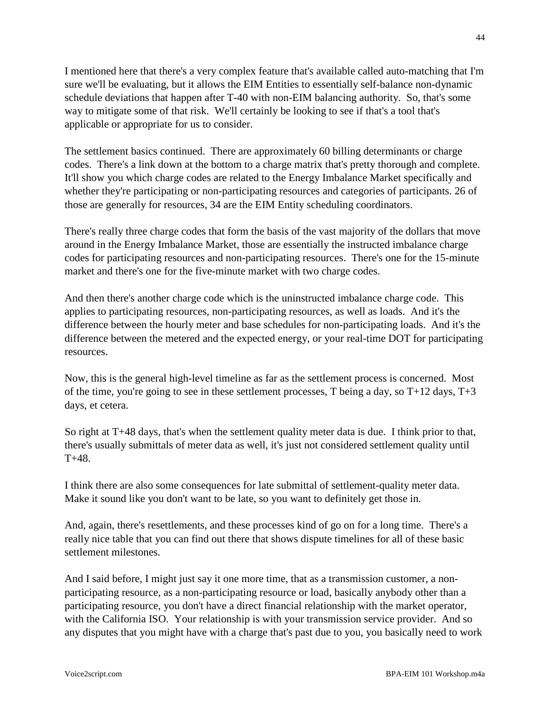I mentioned here that there's a very complex feature that's available called auto-matching that I'm sure we'll be evaluating, but it allows the EIM Entities to essentially self-balance non-dynamic schedule deviations that happen after T-40 with non-EIM balancing authority. So, that's some way to mitigate some of that risk. We'll certainly be looking to see if that's a tool that's applicable or appropriate for us to consider.

The settlement basics continued. There are approximately 60 billing determinants or charge codes. There's a link down at the bottom to a charge matrix that's pretty thorough and complete. It'll show you which charge codes are related to the Energy Imbalance Market specifically and whether they're participating or non-participating resources and categories of participants. 26 of those are generally for resources, 34 are the EIM Entity scheduling coordinators.

There's really three charge codes that form the basis of the vast majority of the dollars that move around in the Energy Imbalance Market, those are essentially the instructed imbalance charge codes for participating resources and non-participating resources. There's one for the 15-minute market and there's one for the five-minute market with two charge codes.

And then there's another charge code which is the uninstructed imbalance charge code. This applies to participating resources, non-participating resources, as well as loads. And it's the difference between the hourly meter and base schedules for non-participating loads. And it's the difference between the metered and the expected energy, or your real-time DOT for participating resources.

Now, this is the general high-level timeline as far as the settlement process is concerned. Most of the time, you're going to see in these settlement processes, T being a day, so  $T+12$  days,  $T+3$ days, et cetera.

So right at T+48 days, that's when the settlement quality meter data is due. I think prior to that, there's usually submittals of meter data as well, it's just not considered settlement quality until T+48.

I think there are also some consequences for late submittal of settlement-quality meter data. Make it sound like you don't want to be late, so you want to definitely get those in.

And, again, there's resettlements, and these processes kind of go on for a long time. There's a really nice table that you can find out there that shows dispute timelines for all of these basic settlement milestones.

And I said before, I might just say it one more time, that as a transmission customer, a nonparticipating resource, as a non-participating resource or load, basically anybody other than a participating resource, you don't have a direct financial relationship with the market operator, with the California ISO. Your relationship is with your transmission service provider. And so any disputes that you might have with a charge that's past due to you, you basically need to work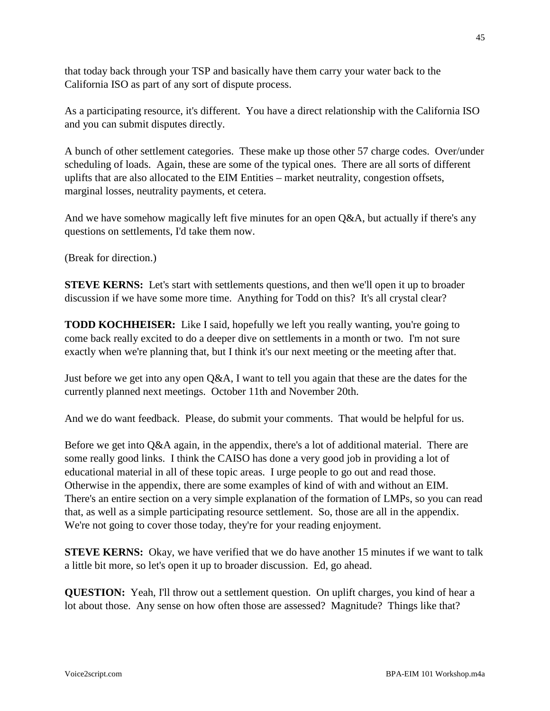that today back through your TSP and basically have them carry your water back to the California ISO as part of any sort of dispute process.

As a participating resource, it's different. You have a direct relationship with the California ISO and you can submit disputes directly.

A bunch of other settlement categories. These make up those other 57 charge codes. Over/under scheduling of loads. Again, these are some of the typical ones. There are all sorts of different uplifts that are also allocated to the EIM Entities – market neutrality, congestion offsets, marginal losses, neutrality payments, et cetera.

And we have somehow magically left five minutes for an open Q&A, but actually if there's any questions on settlements, I'd take them now.

(Break for direction.)

**STEVE KERNS:** Let's start with settlements questions, and then we'll open it up to broader discussion if we have some more time. Anything for Todd on this? It's all crystal clear?

**TODD KOCHHEISER:** Like I said, hopefully we left you really wanting, you're going to come back really excited to do a deeper dive on settlements in a month or two. I'm not sure exactly when we're planning that, but I think it's our next meeting or the meeting after that.

Just before we get into any open Q&A, I want to tell you again that these are the dates for the currently planned next meetings. October 11th and November 20th.

And we do want feedback. Please, do submit your comments. That would be helpful for us.

Before we get into Q&A again, in the appendix, there's a lot of additional material. There are some really good links. I think the CAISO has done a very good job in providing a lot of educational material in all of these topic areas. I urge people to go out and read those. Otherwise in the appendix, there are some examples of kind of with and without an EIM. There's an entire section on a very simple explanation of the formation of LMPs, so you can read that, as well as a simple participating resource settlement. So, those are all in the appendix. We're not going to cover those today, they're for your reading enjoyment.

**STEVE KERNS:** Okay, we have verified that we do have another 15 minutes if we want to talk a little bit more, so let's open it up to broader discussion. Ed, go ahead.

**QUESTION:** Yeah, I'll throw out a settlement question. On uplift charges, you kind of hear a lot about those. Any sense on how often those are assessed? Magnitude? Things like that?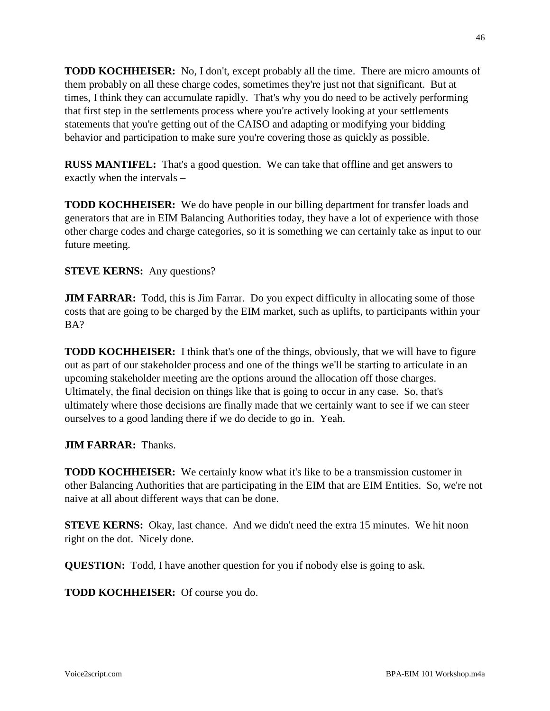**TODD KOCHHEISER:** No, I don't, except probably all the time. There are micro amounts of them probably on all these charge codes, sometimes they're just not that significant. But at times, I think they can accumulate rapidly. That's why you do need to be actively performing that first step in the settlements process where you're actively looking at your settlements statements that you're getting out of the CAISO and adapting or modifying your bidding behavior and participation to make sure you're covering those as quickly as possible.

**RUSS MANTIFEL:** That's a good question. We can take that offline and get answers to exactly when the intervals –

**TODD KOCHHEISER:** We do have people in our billing department for transfer loads and generators that are in EIM Balancing Authorities today, they have a lot of experience with those other charge codes and charge categories, so it is something we can certainly take as input to our future meeting.

**STEVE KERNS:** Any questions?

**JIM FARRAR:** Todd, this is Jim Farrar. Do you expect difficulty in allocating some of those costs that are going to be charged by the EIM market, such as uplifts, to participants within your BA?

**TODD KOCHHEISER:** I think that's one of the things, obviously, that we will have to figure out as part of our stakeholder process and one of the things we'll be starting to articulate in an upcoming stakeholder meeting are the options around the allocation off those charges. Ultimately, the final decision on things like that is going to occur in any case. So, that's ultimately where those decisions are finally made that we certainly want to see if we can steer ourselves to a good landing there if we do decide to go in. Yeah.

**JIM FARRAR:** Thanks.

**TODD KOCHHEISER:** We certainly know what it's like to be a transmission customer in other Balancing Authorities that are participating in the EIM that are EIM Entities. So, we're not naive at all about different ways that can be done.

**STEVE KERNS:** Okay, last chance. And we didn't need the extra 15 minutes. We hit noon right on the dot. Nicely done.

**QUESTION:** Todd, I have another question for you if nobody else is going to ask.

**TODD KOCHHEISER:** Of course you do.